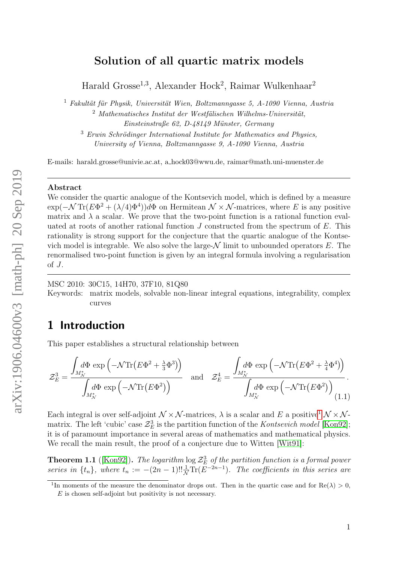## Solution of all quartic matrix models

Harald Grosse<sup>1,3</sup>, Alexander Hock<sup>2</sup>, Raimar Wulkenhaar<sup>2</sup>

 $1$  Fakultät für Physik, Universität Wien, Boltzmanngasse 5, A-1090 Vienna, Austria

 $2$  Mathematisches Institut der Westfälischen Wilhelms-Universität, Einsteinstraße 62, D-48149 Münster, Germany

 $3$  Erwin Schrödinger International Institute for Mathematics and Physics, University of Vienna, Boltzmanngasse 9, A-1090 Vienna, Austria

E-mails: harald.grosse@univie.ac.at, a hock03@wwu.de, raimar@math.uni-muenster.de

#### Abstract

We consider the quartic analogue of the Kontsevich model, which is defined by a measure  $\exp(-\mathcal{N}\text{Tr}(E\Phi^2+(\lambda/4)\Phi^4))d\Phi$  on Hermitean  $\mathcal{N}\times\mathcal{N}$ -matrices, where E is any positive matrix and  $\lambda$  a scalar. We prove that the two-point function is a rational function evaluated at roots of another rational function  $J$  constructed from the spectrum of  $E$ . This rationality is strong support for the conjecture that the quartic analogue of the Kontsevich model is integrable. We also solve the large- $\mathcal N$  limit to unbounded operators  $E$ . The renormalised two-point function is given by an integral formula involving a regularisation of  $J$ .

MSC 2010: 30C15, 14H70, 37F10, 81Q80

Keywords: matrix models, solvable non-linear integral equations, integrability, complex curves

## 1 Introduction

This paper establishes a structural relationship between

<span id="page-0-1"></span>
$$
\mathcal{Z}_E^3 = \frac{\int_{M^*_{\mathcal{N}}}\! d\Phi \, \exp\left(-\mathcal{N}\text{Tr}\left(E\Phi^2 + \frac{\lambda}{3}\Phi^3\right)\right)}{\int_{M^*_{\mathcal{N}}}\! d\Phi \, \exp\left(-\mathcal{N}\text{Tr}\left(E\Phi^2\right)\right)} \quad \text{and} \quad \mathcal{Z}_E^4 = \frac{\int_{M^*_{\mathcal{N}}}\! d\Phi \, \exp\left(-\mathcal{N}\text{Tr}\left(E\Phi^2 + \frac{\lambda}{4}\Phi^4\right)\right)}{\int_{M^*_{\mathcal{N}}}\! d\Phi \, \exp\left(-\mathcal{N}\text{Tr}\left(E\Phi^2\right)\right)}.
$$
 (1.1)

Each integral is over self-adjoint  $\mathcal{N} \times \mathcal{N}$ -matrices,  $\lambda$  is a scalar and E a positive<sup>[1](#page-0-0)</sup>  $\mathcal{N} \times \mathcal{N}$ matrix. The left 'cubic' case  $\mathcal{Z}_E^3$  is the partition function of the *Kontsevich model* [\[Kon92\]](#page-26-0); it is of paramount importance in several areas of mathematics and mathematical physics. We recall the main result, the proof of a conjecture due to Witten [\[Wit91\]](#page-26-1):

**Theorem 1.1** ([\[Kon92\]](#page-26-0)). The logarithm  $\log \mathcal{Z}_E^3$  of the partition function is a formal power series in  $\{t_n\}$ , where  $t_n := -(2n-1)!! \frac{1}{N} \text{Tr}(E^{-2n-1})$ . The coefficients in this series are

<span id="page-0-0"></span><sup>&</sup>lt;sup>1</sup>In moments of the measure the denominator drops out. Then in the quartic case and for  $\text{Re}(\lambda) > 0$ ,

 $E$  is chosen self-adjoint but positivity is not necessary.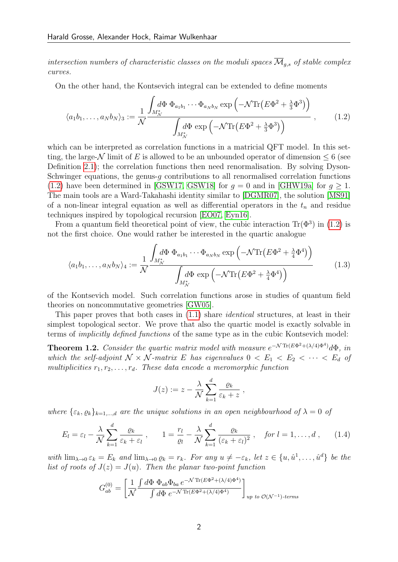intersection numbers of characteristic classes on the moduli spaces  $\overline{\mathcal{M}}_{q,s}$  of stable complex curves.

On the other hand, the Kontsevich integral can be extended to define moments

<span id="page-1-0"></span>
$$
\langle a_1 b_1, \dots, a_N b_N \rangle_3 := \frac{1}{\mathcal{N}} \frac{\int_{M_N^*} d\Phi \, \Phi_{a_1 b_1} \cdots \Phi_{a_N b_N} \exp \left( -\mathcal{N} \text{Tr} \left( E \Phi^2 + \frac{\lambda}{3} \Phi^3 \right) \right)}{\int_{M_N^*} d\Phi \exp \left( -\mathcal{N} \text{Tr} \left( E \Phi^2 + \frac{\lambda}{3} \Phi^3 \right) \right)} , \quad (1.2)
$$

which can be interpreted as correlation functions in a matricial QFT model. In this setting, the large- $\mathcal N$  limit of E is allowed to be an unbounded operator of dimension  $\leq 6$  (see Definition [2.1\)](#page-4-0); the correlation functions then need renormalisation. By solving Dyson-Schwinger equations, the genus-q contributions to all renormalised correlation functions [\(1.2\)](#page-1-0) have been determined in [\[GSW17,](#page-25-0) [GSW18\]](#page-25-1) for  $g = 0$  and in [\[GHW19a\]](#page-25-2) for  $g \ge 1$ . The main tools are a Ward-Takahashi identity similar to [\[DGMR07\]](#page-25-3), the solution [\[MS91\]](#page-26-2) of a non-linear integral equation as well as differential operators in the  $t_n$  and residue techniques inspired by topological recursion [\[EO07,](#page-25-4) [Eyn16\]](#page-25-5).

From a quantum field theoretical point of view, the cubic interaction  $\text{Tr}(\Phi^3)$  in [\(1.2\)](#page-1-0) is not the first choice. One would rather be interested in the quartic analogue

$$
\langle a_1 b_1, \dots, a_N b_N \rangle_4 := \frac{1}{\mathcal{N}} \frac{\int_{M^*_{\mathcal{N}}}{d\Phi} \Phi_{a_1 b_1} \cdots \Phi_{a_N b_N} \exp\left(-\mathcal{N} \text{Tr}\left(E\Phi^2 + \frac{\lambda}{4} \Phi^4\right)\right)}{\int_{M^*_{\mathcal{N}}}{d\Phi} \exp\left(-\mathcal{N} \text{Tr}\left(E\Phi^2 + \frac{\lambda}{4} \Phi^4\right)\right)}
$$
(1.3)

of the Kontsevich model. Such correlation functions arose in studies of quantum field theories on noncommutative geometries [\[GW05\]](#page-25-6).

This paper proves that both cases in  $(1.1)$  share *identical* structures, at least in their simplest topological sector. We prove that also the quartic model is exactly solvable in terms of implicitly defined functions of the same type as in the cubic Kontsevich model:

<span id="page-1-1"></span>**Theorem 1.2.** Consider the quartic matrix model with measure  $e^{-\mathcal{N}\text{Tr}(E\Phi^2 + (\lambda/4)\Phi^4)}d\Phi$ , in which the self-adjoint  $\mathcal{N} \times \mathcal{N}$ -matrix E has eigenvalues  $0 \lt E_1 \lt E_2 \lt \cdots \lt E_d$  of multiplicities  $r_1, r_2, \ldots, r_d$ . These data encode a meromorphic function

<span id="page-1-3"></span><span id="page-1-2"></span>
$$
J(z) := z - \frac{\lambda}{\mathcal{N}} \sum_{k=1}^d \frac{\varrho_k}{\varepsilon_k + z} ,
$$

where  $\{\varepsilon_k, \varrho_k\}_{k=1,\dots,d}$  are the unique solutions in an open neighbourhood of  $\lambda = 0$  of

$$
E_l = \varepsilon_l - \frac{\lambda}{\mathcal{N}} \sum_{k=1}^d \frac{\varrho_k}{\varepsilon_k + \varepsilon_l} \,, \qquad 1 = \frac{r_l}{\varrho_l} - \frac{\lambda}{\mathcal{N}} \sum_{k=1}^d \frac{\varrho_k}{(\varepsilon_k + \varepsilon_l)^2} \,, \quad \text{for } l = 1, \dots, d \,, \tag{1.4}
$$

with  $\lim_{\lambda\to 0} \varepsilon_k = E_k$  and  $\lim_{\lambda\to 0} \varrho_k = r_k$ . For any  $u \neq -\varepsilon_k$ , let  $z \in \{u, \hat{u}^1, \dots, \hat{u}^d\}$  be the list of roots of  $J(z) = J(u)$ . Then the planar two-point function

$$
G_{ab}^{(0)} = \left[\frac{1}{\mathcal{N}} \frac{\int d\Phi \ \Phi_{ab} \Phi_{ba} e^{-\mathcal{N} \text{Tr}(E\Phi^2 + (\lambda/4)\Phi^4)}}{\int d\Phi \ e^{-\mathcal{N} \text{Tr}(E\Phi^2 + (\lambda/4)\Phi^4)}}\right]_{up \ to \ \mathcal{O}(\mathcal{N}^{-1})\text{-terms}}
$$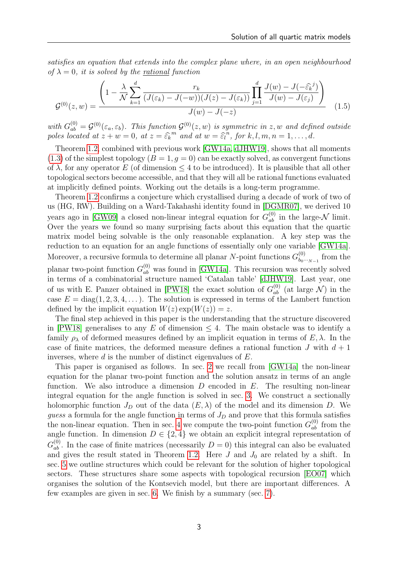satisfies an equation that extends into the complex plane where, in an open neighbourhood of  $\lambda = 0$ , it is solved by the rational function

<span id="page-2-0"></span>
$$
\mathcal{G}^{(0)}(z,w) = \frac{\left(1 - \frac{\lambda}{\mathcal{N}} \sum_{k=1}^d \frac{r_k}{(J(\varepsilon_k) - J(-w))(J(z) - J(\varepsilon_k))} \prod_{j=1}^d \frac{J(w) - J(-\hat{\varepsilon}_k^j)}{J(w) - J(\varepsilon_j)}\right)}{J(w) - J(-z)} \tag{1.5}
$$

with  $G_{ab}^{(0)} = \mathcal{G}^{(0)}(\varepsilon_a, \varepsilon_b)$ . This function  $\mathcal{G}^{(0)}(z, w)$  is symmetric in z, w and defined outside poles located at  $z + w = 0$ , at  $z = \widehat{\varepsilon_k}^m$  and at  $w = \widehat{\varepsilon_l}^n$ , for  $k, l, m, n = 1, ..., d$ .

Theorem [1.2,](#page-1-1) combined with previous work [\[GW14a,](#page-25-7) [dJHW19\]](#page-25-8), shows that all moments  $(1.3)$  of the simplest topology  $(B = 1, q = 0)$  can be exactly solved, as convergent functions of  $\lambda$ , for any operator E (of dimension  $\leq 4$  to be introduced). It is plausible that all other topological sectors become accessible, and that they will all be rational functions evaluated at implicitly defined points. Working out the details is a long-term programme.

Theorem [1.2](#page-1-1) confirms a conjecture which crystallised during a decade of work of two of us (HG, RW). Building on a Ward-Takahashi identity found in [\[DGMR07\]](#page-25-3), we derived 10 years ago in [\[GW09\]](#page-25-9) a closed non-linear integral equation for  $G_{ab}^{(0)}$  in the large- $\mathcal N$  limit. Over the years we found so many surprising facts about this equation that the quartic matrix model being solvable is the only reasonable explanation. A key step was the reduction to an equation for an angle functions of essentially only one variable [\[GW14a\]](#page-25-7). Moreover, a recursive formula to determine all planar N-point functions  $G_{bc}^{(0)}$ .  $\lim_{b_0 \cdots b_{-1}}$  from the planar two-point function  $G_{ab}^{(0)}$  was found in [\[GW14a\]](#page-25-7). This recursion was recently solved in terms of a combinatorial structure named 'Catalan table' [\[dJHW19\]](#page-25-8). Last year, one of us with E. Panzer obtained in [\[PW18\]](#page-26-3) the exact solution of  $G_{ab}^{(0)}$  (at large  $\mathcal{N}$ ) in the case  $E = diag(1, 2, 3, 4, ...)$ . The solution is expressed in terms of the Lambert function defined by the implicit equation  $W(z) \exp(W(z)) = z$ .

The final step achieved in this paper is the understanding that the structure discovered in [\[PW18\]](#page-26-3) generalises to any E of dimension  $\leq 4$ . The main obstacle was to identify a family  $\rho_{\lambda}$  of deformed measures defined by an implicit equation in terms of  $E, \lambda$ . In the case of finite matrices, the deformed measure defines a rational function  $J$  with  $d+1$ inverses, where  $d$  is the number of distinct eigenvalues of  $E$ .

This paper is organised as follows. In sec. [2](#page-3-0) we recall from [\[GW14a\]](#page-25-7) the non-linear equation for the planar two-point function and the solution ansatz in terms of an angle function. We also introduce a dimension  $D$  encoded in  $E$ . The resulting non-linear integral equation for the angle function is solved in sec. [3.](#page-6-0) We construct a sectionally holomorphic function  $J_D$  out of the data  $(E, \lambda)$  of the model and its dimension D. We guess a formula for the angle function in terms of  $J_D$  and prove that this formula satisfies the non-linear equation. Then in sec. [4](#page-11-0) we compute the two-point function  $G_{ab}^{(0)}$  from the angle function. In dimension  $D \in \{2, 4\}$  we obtain an explicit integral representation of  $G_{ab}^{(0)}$ . In the case of finite matrices (necessarily  $D=0$ ) this integral can also be evaluated and gives the result stated in Theorem [1.2.](#page-1-1) Here  $J$  and  $J_0$  are related by a shift. In sec. [5](#page-20-0) we outline structures which could be relevant for the solution of higher topological sectors. These structures share some aspects with topological recursion [\[EO07\]](#page-25-4) which organises the solution of the Kontsevich model, but there are important differences. A few examples are given in sec. [6.](#page-22-0) We finish by a summary (sec. [7\)](#page-24-0).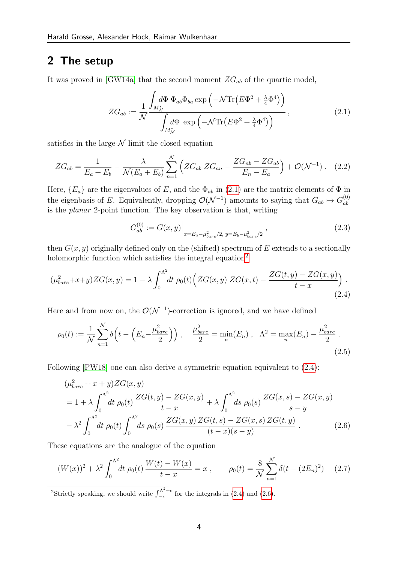## <span id="page-3-0"></span>2 The setup

It was proved in [\[GW14a\]](#page-25-7) that the second moment  $ZG_{ab}$  of the quartic model,

<span id="page-3-1"></span>
$$
ZG_{ab} := \frac{1}{\mathcal{N}} \frac{\int_{M^*_{\mathcal{N}}}{d\Phi} \Phi_{ab} \Phi_{ba} \exp\left(-\mathcal{N} \text{Tr}\left(E\Phi^2 + \frac{\lambda}{4} \Phi^4\right)\right)}{\int_{M^*_{\mathcal{N}}}{d\Phi} \exp\left(-\mathcal{N} \text{Tr}\left(E\Phi^2 + \frac{\lambda}{4} \Phi^4\right)\right)},
$$
(2.1)

satisfies in the large- $\mathcal N$  limit the closed equation

$$
ZG_{ab} = \frac{1}{E_a + E_b} - \frac{\lambda}{\mathcal{N}(E_a + E_b)} \sum_{n=1}^{N} \left( ZG_{ab} ZG_{an} - \frac{ZG_{nb} - ZG_{ab}}{E_n - E_a} \right) + \mathcal{O}(\mathcal{N}^{-1}). \quad (2.2)
$$

Here,  ${E_a}$  are the eigenvalues of E, and the  $\Phi_{ab}$  in [\(2.1\)](#page-3-1) are the matrix elements of  $\Phi$  in the eigenbasis of E. Equivalently, dropping  $\mathcal{O}(\mathcal{N}^{-1})$  amounts to saying that  $G_{ab} \mapsto G_{ab}^{(0)}$ ab is the planar 2-point function. The key observation is that, writing

<span id="page-3-7"></span><span id="page-3-6"></span><span id="page-3-5"></span><span id="page-3-3"></span>
$$
G_{ab}^{(0)} := G(x, y)\Big|_{x = E_a - \mu_{bare}^2/2, \ y = E_b - \mu_{bare}^2/2}, \tag{2.3}
$$

then  $G(x, y)$  originally defined only on the (shifted) spectrum of E extends to a sectionally holomorphic function which satisfies the integral equation<sup>[2](#page-3-2)</sup>

$$
(\mu_{bare}^2 + x + y) ZG(x, y) = 1 - \lambda \int_0^{\Lambda^2} dt \, \rho_0(t) \Big( ZG(x, y) \, ZG(x, t) - \frac{ZG(t, y) - ZG(x, y)}{t - x} \Big) \,.
$$
\n(2.4)

Here and from now on, the  $\mathcal{O}(\mathcal{N}^{-1})$ -correction is ignored, and we have defined

$$
\rho_0(t) := \frac{1}{N} \sum_{n=1}^{N} \delta\left(t - \left(E_n - \frac{\mu_{bare}^2}{2}\right)\right), \quad \frac{\mu_{bare}^2}{2} = \min_n(E_n), \quad \Lambda^2 = \max_n(E_n) - \frac{\mu_{bare}^2}{2} \tag{2.5}
$$

Following [\[PW18\]](#page-26-3) one can also derive a symmetric equation equivalent to [\(2.4\)](#page-3-3):

<span id="page-3-4"></span>
$$
(\mu_{bare}^2 + x + y)ZG(x, y)
$$
  
=  $1 + \lambda \int_0^{\Lambda^2} dt \, \rho_0(t) \frac{ZG(t, y) - ZG(x, y)}{t - x} + \lambda \int_0^{\Lambda^2} ds \, \rho_0(s) \frac{ZG(x, s) - ZG(x, y)}{s - y}$   
 $- \lambda^2 \int_0^{\Lambda^2} dt \, \rho_0(t) \int_0^{\Lambda^2} ds \, \rho_0(s) \frac{ZG(x, y) ZG(t, s) - ZG(x, s) ZG(t, y)}{(t - x)(s - y)}.$  (2.6)

These equations are the analogue of the equation

$$
(W(x))^{2} + \lambda^{2} \int_{0}^{\Lambda^{2}} dt \, \rho_{0}(t) \, \frac{W(t) - W(x)}{t - x} = x \,, \qquad \rho_{0}(t) = \frac{8}{\mathcal{N}} \sum_{n=1}^{\mathcal{N}} \delta(t - (2E_{n})^{2}) \quad (2.7)
$$

<span id="page-3-2"></span><sup>2</sup>Strictly speaking, we should write  $\int_{-\epsilon}^{\Lambda^2 + \epsilon}$  $\frac{f^{4}\Lambda}{f}$  for the integrals in [\(2.4\)](#page-3-3) and [\(2.6\)](#page-3-4).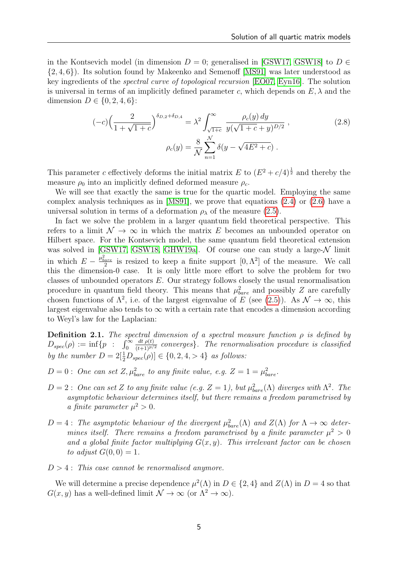in the Kontsevich model (in dimension  $D = 0$ ; generalised in [\[GSW17,](#page-25-0) [GSW18\]](#page-25-1) to  $D \in$  $\{2,4,6\}$ ). Its solution found by Makeenko and Semenoff [\[MS91\]](#page-26-2) was later understood as key ingredients of the spectral curve of topological recursion [\[EO07,](#page-25-4) [Eyn16\]](#page-25-5). The solution is universal in terms of an implicitly defined parameter c, which depends on  $E, \lambda$  and the dimension  $D \in \{0, 2, 4, 6\}$ :

<span id="page-4-1"></span>
$$
(-c)\left(\frac{2}{1+\sqrt{1+c}}\right)^{\delta_{D,2}+\delta_{D,4}} = \lambda^2 \int_{\sqrt{1+c}}^{\infty} \frac{\rho_c(y) dy}{y(\sqrt{1+c} + y)^{D/2}},
$$
\n
$$
\rho_c(y) = \frac{8}{\mathcal{N}} \sum_{n=1}^{\mathcal{N}} \delta(y - \sqrt{4E^2 + c}).
$$
\n(2.8)

This parameter c effectively deforms the initial matrix E to  $(E^2 + c/4)^{\frac{1}{2}}$  and thereby the measure  $\rho_0$  into an implicitly defined deformed measure  $\rho_c$ .

We will see that exactly the same is true for the quartic model. Employing the same complex analysis techniques as in [\[MS91\]](#page-26-2), we prove that equations [\(2.4\)](#page-3-3) or [\(2.6\)](#page-3-4) have a universal solution in terms of a deformation  $\rho_{\lambda}$  of the measure [\(2.5\)](#page-3-5).

In fact we solve the problem in a larger quantum field theoretical perspective. This refers to a limit  $\mathcal{N} \to \infty$  in which the matrix E becomes an unbounded operator on Hilbert space. For the Kontsevich model, the same quantum field theoretical extension was solved in [\[GSW17,](#page-25-0) [GSW18,](#page-25-1) [GHW19a\]](#page-25-2). Of course one can study a large- $\mathcal N$  limit in which  $E - \frac{\mu_{bare}^2}{2}$  is resized to keep a finite support  $[0, \Lambda^2]$  of the measure. We call this the dimension-0 case. It is only little more effort to solve the problem for two classes of unbounded operators E. Our strategy follows closely the usual renormalisation procedure in quantum field theory. This means that  $\mu_{bare}^2$  and possibly Z are carefully chosen functions of  $\Lambda^2$ , i.e. of the largest eigenvalue of E (see [\(2.5\)](#page-3-5)). As  $\mathcal{N} \to \infty$ , this largest eigenvalue also tends to  $\infty$  with a certain rate that encodes a dimension according to Weyl's law for the Laplacian:

<span id="page-4-0"></span>**Definition 2.1.** The spectral dimension of a spectral measure function  $\rho$  is defined by  $D_{spec}(\rho) := \inf\{p \ : \ \ \int_0^\infty$  $\frac{dt \rho(t)}{(t+1)^{p/2}}$  converges). The renormalisation procedure is classified by the number  $D = 2[\frac{1}{2}D_{spec}(\rho)] \in \{0, 2, 4, > 4\}$  as follows:

 $D=0$ : One can set  $Z, \mu_{bare}^2$  to any finite value, e.g.  $Z=1=\mu_{bare}^2$ .

- $D=2$ : One can set Z to any finite value (e.g.  $Z=1$ ), but  $\mu_{bare}^2(\Lambda)$  diverges with  $\Lambda^2$ . The asymptotic behaviour determines itself, but there remains a freedom parametrised by a finite parameter  $\mu^2 > 0$ .
- $D=4$ : The asymptotic behaviour of the divergent  $\mu_{bare}^2(\Lambda)$  and  $Z(\Lambda)$  for  $\Lambda \to \infty$  determines itself. There remains a freedom parametrised by a finite parameter  $\mu^2 > 0$ and a global finite factor multiplying  $G(x, y)$ . This irrelevant factor can be chosen to adjust  $G(0, 0) = 1$ .

 $D > 4$ : This case cannot be renormalised anymore.

We will determine a precise dependence  $\mu^2(\Lambda)$  in  $D \in \{2, 4\}$  and  $Z(\Lambda)$  in  $D = 4$  so that  $G(x, y)$  has a well-defined limit  $\mathcal{N} \to \infty$  (or  $\Lambda^2 \to \infty$ ).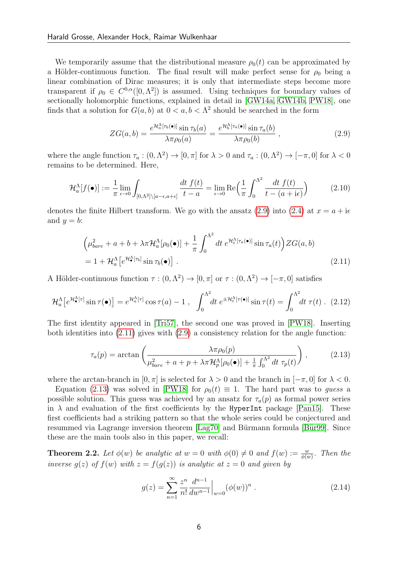We temporarily assume that the distributional measure  $\rho_0(t)$  can be approximated by a Hölder-continuous function. The final result will make perfect sense for  $\rho_0$  being a linear combination of Dirac measures; it is only that intermediate steps become more transparent if  $\rho_0 \in C^{0,\alpha}([0,\Lambda^2])$  is assumed. Using techniques for boundary values of sectionally holomorphic functions, explained in detail in [\[GW14a,](#page-25-7) [GW14b,](#page-26-4) [PW18\]](#page-26-3), one finds that a solution for  $G(a, b)$  at  $0 < a, b < \Lambda^2$  should be searched in the form

<span id="page-5-0"></span>
$$
ZG(a,b) = \frac{e^{\mathcal{H}_a^{\Lambda}[\tau_b(\bullet)]}\sin \tau_b(a)}{\lambda \pi \rho_0(a)} = \frac{e^{\mathcal{H}_b^{\Lambda}[\tau_a(\bullet)]}\sin \tau_a(b)}{\lambda \pi \rho_0(b)},
$$
\n(2.9)

where the angle function  $\tau_a:(0,\Lambda^2)\to[0,\pi]$  for  $\lambda>0$  and  $\tau_a:(0,\Lambda^2)\to[-\pi,0]$  for  $\lambda<0$ remains to be determined. Here,

$$
\mathcal{H}_a^{\Lambda}[f(\bullet)] := \frac{1}{\pi} \lim_{\epsilon \to 0} \int_{[0,\Lambda^2] \setminus [a-\epsilon,a+\epsilon]} \frac{dt \ f(t)}{t-a} = \lim_{\epsilon \to 0} \text{Re} \Big( \frac{1}{\pi} \int_0^{\Lambda^2} \frac{dt \ f(t)}{t-(a+\mathrm{i}\epsilon)} \Big) \tag{2.10}
$$

denotes the finite Hilbert transform. We go with the ansatz [\(2.9\)](#page-5-0) into [\(2.4\)](#page-3-3) at  $x = a + i\epsilon$ and  $y = b$ :

<span id="page-5-1"></span>
$$
\left(\mu_{bare}^2 + a + b + \lambda \pi \mathcal{H}_a^{\Lambda}[\rho_0(\bullet)] + \frac{1}{\pi} \int_0^{\Lambda^2} dt \ e^{\mathcal{H}_t^{\Lambda}[\tau_a(\bullet)]} \sin \tau_a(t) \right) ZG(a, b)
$$
  
= 1 + \mathcal{H}\_a^{\Lambda} [e^{\mathcal{H}\_\bullet^{\Lambda}[\tau\_b]} \sin \tau\_b(\bullet)]. \tag{2.11}

A Hölder-continuous function  $\tau : (0, \Lambda^2) \to [0, \pi]$  or  $\tau : (0, \Lambda^2) \to [-\pi, 0]$  satisfies

$$
\mathcal{H}_a^{\Lambda}[e^{\mathcal{H}_\bullet^{\Lambda}[\tau]} \sin \tau(\bullet)] = e^{\mathcal{H}_a^{\Lambda}[\tau]} \cos \tau(a) - 1 \ , \quad \int_0^{\Lambda^2} dt \ e^{\pm \mathcal{H}_t^{\Lambda}[\tau(\bullet)]} \sin \tau(t) = \int_0^{\Lambda^2} dt \ \tau(t) \ . \tag{2.12}
$$

The first identity appeared in [\[Tri57\]](#page-26-5), the second one was proved in [\[PW18\]](#page-26-3). Inserting both identities into [\(2.11\)](#page-5-1) gives with [\(2.9\)](#page-5-0) a consistency relation for the angle function:

$$
\tau_a(p) = \arctan\left(\frac{\lambda \pi \rho_0(p)}{\mu_{bare}^2 + a + p + \lambda \pi \mathcal{H}_p^{\Lambda}[\rho_0(\bullet)] + \frac{1}{\pi} \int_0^{\Lambda^2} dt \ \tau_p(t)}\right),\tag{2.13}
$$

where the arctan-branch in  $[0, \pi]$  is selected for  $\lambda > 0$  and the branch in  $[-\pi, 0]$  for  $\lambda < 0$ .

Equation [\(2.13\)](#page-5-2) was solved in [\[PW18\]](#page-26-3) for  $\rho_0(t) \equiv 1$ . The hard part was to guess a possible solution. This guess was achieved by an ansatz for  $\tau_a(p)$  as formal power series in  $\lambda$  and evaluation of the first coefficients by the HyperInt package [\[Pan15\]](#page-26-6). These first coefficients had a striking pattern so that the whole series could be conjectured and resummed via Lagrange inversion theorem  $\left[$ Lag70 $\right]$  and Bürmann formula  $\left[$ Bür99 $\right]$ . Since these are the main tools also in this paper, we recall:

**Theorem 2.2.** Let  $\phi(w)$  be analytic at  $w = 0$  with  $\phi(0) \neq 0$  and  $f(w) := \frac{w}{\phi(w)}$ . Then the inverse  $g(z)$  of  $f(w)$  with  $z = f(g(z))$  is analytic at  $z = 0$  and given by

<span id="page-5-3"></span><span id="page-5-2"></span>
$$
g(z) = \sum_{n=1}^{\infty} \frac{z^n}{n!} \frac{d^{n-1}}{dw^{n-1}} \Big|_{w=0} (\phi(w))^n .
$$
 (2.14)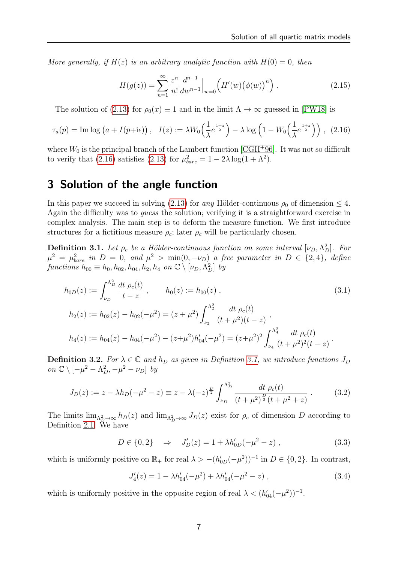More generally, if  $H(z)$  is an arbitrary analytic function with  $H(0) = 0$ , then

<span id="page-6-6"></span><span id="page-6-1"></span>
$$
H(g(z)) = \sum_{n=1}^{\infty} \frac{z^n}{n!} \frac{d^{n-1}}{dw^{n-1}} \Big|_{w=0} \left( H'(w) (\phi(w))^n \right). \tag{2.15}
$$

The solution of [\(2.13\)](#page-5-2) for  $\rho_0(x) \equiv 1$  and in the limit  $\Lambda \to \infty$  guessed in [\[PW18\]](#page-26-3) is

$$
\tau_a(p) = \text{Im}\log\left(a + I(p + i\epsilon)\right), \quad I(z) := \lambda W_0\left(\frac{1}{\lambda}e^{\frac{1+z}{\lambda}}\right) - \lambda \log\left(1 - W_0\left(\frac{1}{\lambda}e^{\frac{1+z}{\lambda}}\right)\right), \tag{2.16}
$$

where  $W_0$  is the principal branch of the Lambert function [\[CGH](#page-25-11)+96]. It was not so difficult to verify that [\(2.16\)](#page-6-1) satisfies [\(2.13\)](#page-5-2) for  $\mu_{bare}^2 = 1 - 2\lambda \log(1 + \Lambda^2)$ .

## <span id="page-6-0"></span>3 Solution of the angle function

In this paper we succeed in solving [\(2.13\)](#page-5-2) for any Hölder-continuous  $\rho_0$  of dimension  $\leq 4$ . Again the difficulty was to guess the solution; verifying it is a straightforward exercise in complex analysis. The main step is to deform the measure function. We first introduce structures for a fictitious measure  $\rho_c$ ; later  $\rho_c$  will be particularly chosen.

<span id="page-6-2"></span>**Definition 3.1.** Let  $\rho_c$  be a Hölder-continuous function on some interval  $[\nu_D, \Lambda_D^2]$ . For  $\mu^2 = \mu_{bare}^2$  in  $D = 0$ , and  $\mu^2 > \min(0, -\nu_D)$  a free parameter in  $D \in \{2, 4\}$ , define functions  $h_{00} \equiv h_0, h_{02}, h_{04}, h_2, h_4$  on  $\mathbb{C} \setminus [\nu_D, \Lambda_D^2]$  by

$$
h_{0D}(z) := \int_{\nu_D}^{\Lambda_D^2} \frac{dt \, \rho_c(t)}{t - z} , \qquad h_0(z) := h_{00}(z) ,
$$
\n
$$
h_2(z) := h_{02}(z) - h_{02}(-\mu^2) = (z + \mu^2) \int_{\nu_2}^{\Lambda_2^2} \frac{dt \, \rho_c(t)}{(t + \mu^2)(t - z)} ,
$$
\n
$$
h_4(z) := h_{04}(z) - h_{04}(-\mu^2) - (z + \mu^2) h'_{04}(-\mu^2) = (z + \mu^2)^2 \int_{\nu_4}^{\Lambda_4^2} \frac{dt \, \rho_c(t)}{(t + \mu^2)^2 (t - z)} .
$$
\n(3.1)

<span id="page-6-5"></span>**Definition 3.2.** For  $\lambda \in \mathbb{C}$  and  $h_D$  as given in Definition [3.1,](#page-6-2) we introduce functions  $J_D$ on  $\mathbb{C} \setminus [-\mu^2 - \Lambda_D^2, -\mu^2 - \nu_D]$  by

$$
J_D(z) := z - \lambda h_D(-\mu^2 - z) \equiv z - \lambda (-z)^{\frac{D}{2}} \int_{\nu_D}^{\Lambda_D^2} \frac{dt \ \rho_c(t)}{(t + \mu^2)^{\frac{D}{2}} (t + \mu^2 + z)} \ . \tag{3.2}
$$

The limits  $\lim_{\Lambda_D^2 \to \infty} h_D(z)$  and  $\lim_{\Lambda_D^2 \to \infty} J_D(z)$  exist for  $\rho_c$  of dimension D according to Definition [2.1.](#page-4-0) We have

<span id="page-6-4"></span>
$$
D \in \{0, 2\} \quad \Rightarrow \quad J'_D(z) = 1 + \lambda h'_{0D}(-\mu^2 - z) \tag{3.3}
$$

which is uniformly positive on  $\mathbb{R}_+$  for real  $\lambda > -(h'_{0D}(-\mu^2))^{-1}$  in  $D \in \{0, 2\}$ . In contrast,

<span id="page-6-3"></span>
$$
J_4'(z) = 1 - \lambda h_{04}'(-\mu^2) + \lambda h_{04}'(-\mu^2 - z) , \qquad (3.4)
$$

which is uniformly positive in the opposite region of real  $\lambda < (h'_{04}(-\mu^2))^{-1}$ .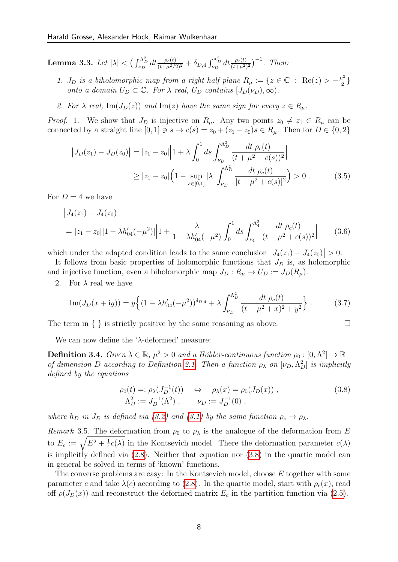<span id="page-7-1"></span>**Lemma 3.3.** Let  $|\lambda| < \left(\int_{\nu_D}^{\Lambda_D^2} dt \frac{\rho_c(t)}{(t+\mu^2/2)^2} + \delta_{D,4} \int_{\nu_D}^{\Lambda_D^2} dt \frac{\rho_c(t)}{(t+\mu^2)^2}\right)^{-1}$ . Then:

- 1.  $J_D$  is a biholomorphic map from a right half plane  $R_\mu := \{z \in \mathbb{C} : \text{Re}(z) > -\frac{\mu^2}{2}\}$  $rac{1}{2}$ onto a domain  $U_D \subset \mathbb{C}$ . For  $\lambda$  real,  $U_D$  contains  $[J_D(\nu_D), \infty)$ .
- 2. For  $\lambda$  real, Im( $J_D(z)$ ) and Im(z) have the same sign for every  $z \in R_\mu$ .

*Proof.* 1. We show that  $J_D$  is injective on  $R_\mu$ . Any two points  $z_0 \neq z_1 \in R_\mu$  can be connected by a straight line  $[0, 1] \ni s \mapsto c(s) = z_0 + (z_1 - z_0)s \in R_\mu$ . Then for  $D \in \{0, 2\}$ 

$$
\left| J_D(z_1) - J_D(z_0) \right| = \left| z_1 - z_0 \right| \left| 1 + \lambda \int_0^1 ds \int_{\nu_D}^{\Lambda_D^2} \frac{dt \, \rho_c(t)}{(t + \mu^2 + c(s))^2} \right|
$$
  
 
$$
\geq \left| z_1 - z_0 \right| \left( 1 - \sup_{s \in [0,1]} |\lambda| \int_{\nu_D}^{\Lambda_D^2} \frac{dt \, \rho_c(t)}{|t + \mu^2 + c(s)|^2} \right) > 0 . \tag{3.5}
$$

For  $D=4$  we have

$$
\left|J_4(z_1) - J_4(z_0)\right|
$$
  
=  $|z_1 - z_0||1 - \lambda h'_{04}(-\mu^2)||1 + \frac{\lambda}{1 - \lambda h'_{04}(-\mu^2)} \int_0^1 ds \int_{\nu_4}^{\Lambda_4^2} \frac{dt \ \rho_c(t)}{(t + \mu^2 + c(s))^2} \Big|$  (3.6)

which under the adapted condition leads to the same conclusion  $|J_4(z_1) - J_4(z_0)| > 0$ .

It follows from basic properties of holomorphic functions that  $J_D$  is, as holomorphic and injective function, even a biholomorphic map  $J_D : R_\mu \to U_D := J_D(R_\mu)$ .

2. For  $\lambda$  real we have

$$
\operatorname{Im}(J_D(x+iy)) = y \left\{ (1 - \lambda h'_{04}(-\mu^2))^{\delta_{D,4}} + \lambda \int_{\nu_D}^{\Lambda_D^2} \frac{dt \; \rho_c(t)}{(t + \mu^2 + x)^2 + y^2} \right\}.
$$
 (3.7)

The term in  $\{\}$  is strictly positive by the same reasoning as above.  $\Box$ 

We can now define the ' $\lambda$ -deformed' measure:

**Definition 3.4.** Given  $\lambda \in \mathbb{R}$ ,  $\mu^2 > 0$  and a Hölder-continuous function  $\rho_0 : [0, \Lambda^2] \to \mathbb{R}_+$ of dimension D according to Definition [2.1.](#page-4-0) Then a function  $\rho_{\lambda}$  on  $[\nu_D, \Lambda_D^2]$  is implicitly defined by the equations

<span id="page-7-0"></span>
$$
\rho_0(t) =: \rho_\lambda(J_D^{-1}(t)) \quad \Leftrightarrow \quad \rho_\lambda(x) = \rho_0(J_D(x)),
$$
\n
$$
\Lambda_D^2 := J_D^{-1}(\Lambda^2), \qquad \nu_D := J_D^{-1}(0),
$$
\n(3.8)

where  $h_D$  in  $J_D$  is defined via [\(3.2\)](#page-6-3) and [\(3.1\)](#page-6-4) by the same function  $\rho_c \mapsto \rho_{\lambda}$ .

Remark 3.5. The deformation from  $\rho_0$  to  $\rho_{\lambda}$  is the analogue of the deformation from E to  $E_c := \sqrt{E^2 + \frac{1}{4}}$  $\frac{1}{4}c(\lambda)$  in the Kontsevich model. There the deformation parameter  $c(\lambda)$ is implicitly defined via [\(2.8\)](#page-4-1). Neither that equation nor [\(3.8\)](#page-7-0) in the quartic model can in general be solved in terms of 'known' functions.

The converse problems are easy: In the Kontsevich model, choose E together with some parameter c and take  $\lambda(c)$  according to [\(2.8\)](#page-4-1). In the quartic model, start with  $\rho_c(x)$ , read off  $\rho(J_D(x))$  and reconstruct the deformed matrix  $E_c$  in the partition function via [\(2.5\)](#page-3-5).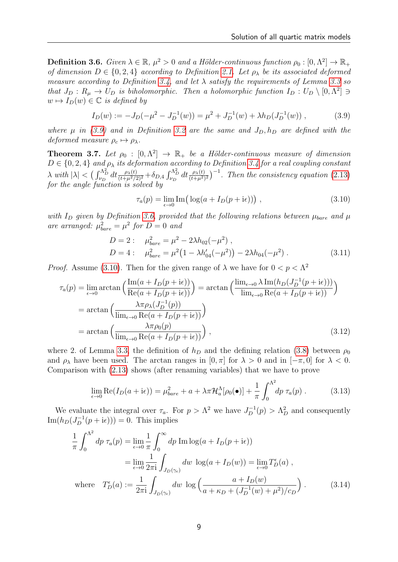<span id="page-8-1"></span>**Definition 3.6.** Given  $\lambda \in \mathbb{R}$ ,  $\mu^2 > 0$  and a Hölder-continuous function  $\rho_0 : [0, \Lambda^2] \to \mathbb{R}_+$ of dimension  $D \in \{0, 2, 4\}$  according to Definition [2.1.](#page-4-0) Let  $\rho_{\lambda}$  be its associated deformed measure according to Definition [3.4,](#page-7-0) and let  $\lambda$  satisfy the requirements of Lemma [3.3](#page-7-1) so that  $J_D: R_\mu \to U_D$  is biholomorphic. Then a holomorphic function  $I_D: U_D \setminus [0, \Lambda^2] \ni$  $w \mapsto I_D(w) \in \mathbb{C}$  is defined by

$$
I_D(w) := -J_D(-\mu^2 - J_D^{-1}(w)) = \mu^2 + J_D^{-1}(w) + \lambda h_D(J_D^{-1}(w)), \qquad (3.9)
$$

where  $\mu$  in [\(3.9\)](#page-8-0) and in Definition [3.2](#page-6-5) are the same and  $J_D$ ,  $h_D$  are defined with the deformed measure  $\rho_c \mapsto \rho_{\lambda}$ .

<span id="page-8-4"></span>**Theorem 3.7.** Let  $\rho_0 : [0, \Lambda^2] \to \mathbb{R}_+$  be a Hölder-continuous measure of dimension  $D \in \{0, 2, 4\}$  and  $\rho_{\lambda}$  its deformation according to Definition [3.4](#page-7-0) for a real coupling constant  $\lambda$  with  $|\lambda|$  <  $\left(\int_{\nu_D}^{\Lambda_D^2} dt \frac{\rho_{\lambda}(t)}{(t+\mu^2/2)^2} + \delta_{D,4} \int_{\nu_D}^{\Lambda_D^2} dt \frac{\rho_{\lambda}(t)}{(t+\mu^2)^2}\right)^{-1}$ . Then the consistency equation [\(2.13\)](#page-5-2) for the angle function is solved by

<span id="page-8-5"></span><span id="page-8-2"></span><span id="page-8-0"></span>
$$
\tau_a(p) = \lim_{\epsilon \to 0} \text{Im} \big( \log(a + I_D(p + i\epsilon)) \big) , \qquad (3.10)
$$

with  $I_D$  given by Definition [3.6,](#page-8-1) provided that the following relations between  $\mu_{bare}$  and  $\mu$ are arranged:  $\mu_{bare}^2 = \mu^2$  for  $D = 0$  and

$$
D = 2: \quad \mu_{bare}^2 = \mu^2 - 2\lambda h_{02}(-\mu^2) ,
$$
  
\n
$$
D = 4: \quad \mu_{bare}^2 = \mu^2 (1 - \lambda h'_{04}(-\mu^2)) - 2\lambda h_{04}(-\mu^2) .
$$
\n(3.11)

*Proof.* Assume [\(3.10\)](#page-8-2). Then for the given range of  $\lambda$  we have for  $0 < p < \Lambda^2$ 

$$
\tau_a(p) = \lim_{\epsilon \to 0} \arctan\left(\frac{\text{Im}(a + I_D(p + i\epsilon))}{\text{Re}(a + I_D(p + i\epsilon))}\right) = \arctan\left(\frac{\text{lim}_{\epsilon \to 0} \lambda \text{Im}(h_D(J_D^{-1}(p + i\epsilon)))}{\text{lim}_{\epsilon \to 0} \text{Re}(a + I_D(p + i\epsilon))}\right)
$$

$$
= \arctan\left(\frac{\lambda \pi \rho_\lambda(J_D^{-1}(p))}{\text{lim}_{\epsilon \to 0} \text{Re}(a + I_D(p + i\epsilon))}\right)
$$

$$
= \arctan\left(\frac{\lambda \pi \rho_0(p)}{\text{lim}_{\epsilon \to 0} \text{Re}(a + I_D(p + i\epsilon))}\right),
$$
(3.12)

where 2. of Lemma [3.3,](#page-7-1) the definition of  $h_D$  and the defining relation [\(3.8\)](#page-7-0) between  $\rho_0$ and  $\rho_{\lambda}$  have been used. The arctan ranges in [0,  $\pi$ ] for  $\lambda > 0$  and in [ $-\pi$ , 0] for  $\lambda < 0$ . Comparison with [\(2.13\)](#page-5-2) shows (after renaming variables) that we have to prove

<span id="page-8-3"></span>
$$
\lim_{\epsilon \to 0} \text{Re}(I_D(a + i\epsilon)) = \mu_{bare}^2 + a + \lambda \pi \mathcal{H}_a^{\Lambda}[\rho_0(\bullet)] + \frac{1}{\pi} \int_0^{\Lambda^2} dp \,\,\tau_a(p) \,. \tag{3.13}
$$

We evaluate the integral over  $\tau_a$ . For  $p > \Lambda^2$  we have  $J_D^{-1}(p) > \Lambda_D^2$  and consequently  $\text{Im}(h_D(J_D^{-1}(p+i\epsilon))) = 0$ . This implies

$$
\frac{1}{\pi} \int_0^{\Lambda^2} dp \,\tau_a(p) = \lim_{\epsilon \to 0} \frac{1}{\pi} \int_0^\infty dp \,\operatorname{Im} \log(a + I_D(p + i\epsilon))
$$
\n
$$
= \lim_{\epsilon \to 0} \frac{1}{2\pi i} \int_{J_D(\gamma_\epsilon)} dw \,\log(a + I_D(w)) = \lim_{\epsilon \to 0} T_D^\epsilon(a) ,
$$
\nwhere 
$$
T_D^\epsilon(a) := \frac{1}{2\pi i} \int_{J_D(\gamma_\epsilon)} dw \,\log\left(\frac{a + I_D(w)}{a + \kappa_D + (J_D^{-1}(w) + \mu^2)/c_D}\right) .
$$
\n(3.14)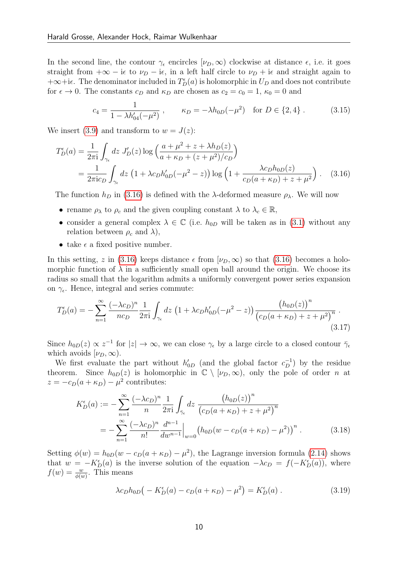In the second line, the contour  $\gamma_{\epsilon}$  encircles  $[\nu_D, \infty)$  clockwise at distance  $\epsilon$ , i.e. it goes straight from  $+\infty - i\epsilon$  to  $\nu_D - i\epsilon$ , in a left half circle to  $\nu_D + i\epsilon$  and straight again to  $+\infty+i\epsilon$ . The denominator included in  $T_D^{\epsilon}(a)$  is holomorphic in  $U_D$  and does not contribute for  $\epsilon \to 0$ . The constants  $c_D$  and  $\kappa_D$  are chosen as  $c_2 = c_0 = 1$ ,  $\kappa_0 = 0$  and

<span id="page-9-3"></span><span id="page-9-0"></span>
$$
c_4 = \frac{1}{1 - \lambda h'_{04}(-\mu^2)}, \qquad \kappa_D = -\lambda h_{0D}(-\mu^2) \quad \text{for } D \in \{2, 4\} \,. \tag{3.15}
$$

We insert [\(3.9\)](#page-8-0) and transform to  $w = J(z)$ :

$$
T_D^{\epsilon}(a) = \frac{1}{2\pi i} \int_{\gamma_{\epsilon}} dz J'_D(z) \log \left( \frac{a + \mu^2 + z + \lambda h_D(z)}{a + \kappa_D + (z + \mu^2)/c_D} \right)
$$
  
= 
$$
\frac{1}{2\pi i c_D} \int_{\gamma_{\epsilon}} dz \left( 1 + \lambda c_D h'_{0D}(-\mu^2 - z) \right) \log \left( 1 + \frac{\lambda c_D h_{0D}(z)}{c_D(a + \kappa_D) + z + \mu^2} \right).
$$
 (3.16)

The function  $h_D$  in [\(3.16\)](#page-9-0) is defined with the  $\lambda$ -deformed measure  $\rho_{\lambda}$ . We will now

- rename  $\rho_{\lambda}$  to  $\rho_c$  and the given coupling constant  $\lambda$  to  $\lambda_c \in \mathbb{R}$ ,
- consider a general complex  $\lambda \in \mathbb{C}$  (i.e.  $h_{0D}$  will be taken as in [\(3.1\)](#page-6-4) without any relation between  $\rho_c$  and  $\lambda$ ),
- take  $\epsilon$  a fixed positive number.

In this setting, z in [\(3.16\)](#page-9-0) keeps distance  $\epsilon$  from  $[\nu_D,\infty)$  so that (3.16) becomes a holomorphic function of  $\lambda$  in a sufficiently small open ball around the origin. We choose its radius so small that the logarithm admits a uniformly convergent power series expansion on  $\gamma_{\epsilon}$ . Hence, integral and series commute:

$$
T_D^{\epsilon}(a) = -\sum_{n=1}^{\infty} \frac{(-\lambda c_D)^n}{nc_D} \frac{1}{2\pi i} \int_{\gamma_{\epsilon}} dz \left(1 + \lambda c_D h'_{0D}(-\mu^2 - z)\right) \frac{\left(h_{0D}(z)\right)^n}{\left(c_D(a + \kappa_D) + z + \mu^2\right)^n} \,. \tag{3.17}
$$

Since  $h_{0D}(z) \propto z^{-1}$  for  $|z| \to \infty$ , we can close  $\gamma_{\epsilon}$  by a large circle to a closed contour  $\bar{\gamma}_{\epsilon}$ which avoids  $[\nu_D,\infty)$ .

We first evaluate the part without  $h'_{0D}$  (and the global factor  $c_D^{-1}$ ) by the residue theorem. Since  $h_{0D}(z)$  is holomorphic in  $\mathbb{C} \setminus [\nu_D, \infty)$ , only the pole of order n at  $z = -c_D(a + \kappa_D) - \mu^2$  contributes:

<span id="page-9-2"></span>
$$
K_D^{\epsilon}(a) := -\sum_{n=1}^{\infty} \frac{(-\lambda c_D)^n}{n} \frac{1}{2\pi i} \int_{\bar{\gamma}_{\epsilon}} dz \, \frac{\left(h_{0D}(z)\right)^n}{\left(c_D(a+\kappa_D)+z+\mu^2\right)^n}
$$
  
= 
$$
-\sum_{n=1}^{\infty} \frac{(-\lambda c_D)^n}{n!} \frac{d^{n-1}}{dw^{n-1}} \Big|_{w=0} \left(h_{0D}(w-c_D(a+\kappa_D)-\mu^2)\right)^n.
$$
 (3.18)

Setting  $\phi(w) = h_{0D}(w - c_D(a + \kappa_D) - \mu^2)$ , the Lagrange inversion formula [\(2.14\)](#page-5-3) shows that  $w = -K_D^{\epsilon}(a)$  is the inverse solution of the equation  $-\lambda c_D = f(-K_D^{\epsilon}(a))$ , where  $f(w) = \frac{w}{\phi(w)}$ . This means

<span id="page-9-1"></span>
$$
\lambda c_D h_{0D} \big( -K_D^{\epsilon}(a) - c_D(a + \kappa_D) - \mu^2 \big) = K_D^{\epsilon}(a) \ . \tag{3.19}
$$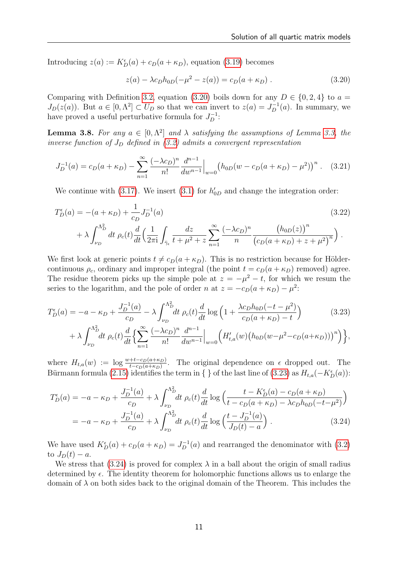Introducing  $z(a) := K_D^{\epsilon}(a) + c_D(a + \kappa_D)$ , equation [\(3.19\)](#page-9-1) becomes

<span id="page-10-0"></span>
$$
z(a) - \lambda c_D h_{0D}(-\mu^2 - z(a)) = c_D(a + \kappa_D).
$$
 (3.20)

Comparing with Definition [3.2,](#page-6-5) equation [\(3.20\)](#page-10-0) boils down for any  $D \in \{0, 2, 4\}$  to  $a =$  $J_D(z(a))$ . But  $a \in [0, \Lambda^2] \subset U_D$  so that we can invert to  $z(a) = J_D^{-1}(a)$ . In summary, we have proved a useful perturbative formula for  $J_D^{-1}$ :

**Lemma 3.8.** For any  $a \in [0, \Lambda^2]$  and  $\lambda$  satisfying the assumptions of Lemma [3.3,](#page-7-1) the inverse function of  $J_D$  defined in [\(3.2\)](#page-6-3) admits a convergent representation

$$
J_D^{-1}(a) = c_D(a + \kappa_D) - \sum_{n=1}^{\infty} \frac{(-\lambda c_D)^n}{n!} \frac{d^{n-1}}{dw^{n-1}} \Big|_{w=0} \left( h_{0D}(w - c_D(a + \kappa_D) - \mu^2) \right)^n. \tag{3.21}
$$

We continue with [\(3.17\)](#page-9-2). We insert [\(3.1\)](#page-6-4) for  $h'_{0D}$  and change the integration order:

$$
T_D^{\epsilon}(a) = -(a + \kappa_D) + \frac{1}{c_D} J_D^{-1}(a)
$$
\n
$$
+ \lambda \int_{\nu_D}^{\Lambda_D^2} dt \, \rho_c(t) \frac{d}{dt} \left( \frac{1}{2\pi i} \int_{\bar{\gamma}_{\epsilon}} \frac{dz}{t + \mu^2 + z} \sum_{n=1}^{\infty} \frac{(-\lambda c_D)^n}{n} \frac{\left( h_{0D}(z) \right)^n}{\left( c_D(a + \kappa_D) + z + \mu^2 \right)^n} \right).
$$
\n(3.22)

We first look at generic points  $t \neq c_D(a + \kappa_D)$ . This is no restriction because for Höldercontinuous  $\rho_c$ , ordinary and improper integral (the point  $t = c_D(a + \kappa_D)$  removed) agree. The residue theorem picks up the simple pole at  $z = -\mu^2 - t$ , for which we resum the series to the logarithm, and the pole of order n at  $z = -c_D(a + \kappa_D) - \mu^2$ :

<span id="page-10-1"></span>
$$
T_D^{\epsilon}(a) = -a - \kappa_D + \frac{J_D^{-1}(a)}{c_D} - \lambda \int_{\nu_D}^{\Lambda_D^2} dt \, \rho_c(t) \frac{d}{dt} \log \left( 1 + \frac{\lambda c_D h_{0D}(-t - \mu^2)}{c_D(a + \kappa_D) - t} \right) \tag{3.23}
$$

$$
+ \lambda \int_{\nu_D}^{\Lambda_D^2} dt \, \rho_c(t) \frac{d}{dt} \left\{ \sum_{n=1}^{\infty} \frac{(-\lambda c_D)^n}{n!} \frac{d^{n-1}}{dw^{n-1}} \Big|_{w=0} \left( H'_{t,a}(w) \left( h_{0D}(w - \mu^2 - c_D(a + \kappa_D)) \right)^n \right) \right\},
$$

where  $H_{t,a}(w) := \log \frac{w+t-c_D(a+\kappa_D)}{t-c_D(a+\kappa_D)}$ . The original dependence on  $\epsilon$  dropped out. The Bürmann formula [\(2.15\)](#page-6-6) identifies the term in { } of the last line of [\(3.23\)](#page-10-1) as  $H_{t,a}(-K_D^{\epsilon}(a))$ :

<span id="page-10-2"></span>
$$
T_D^{\epsilon}(a) = -a - \kappa_D + \frac{J_D^{-1}(a)}{c_D} + \lambda \int_{\nu_D}^{\Lambda_D^2} dt \, \rho_c(t) \frac{d}{dt} \log \left( \frac{t - K_D^{\epsilon}(a) - c_D(a + \kappa_D)}{t - c_D(a + \kappa_D) - \lambda c_D h_{0D}(-t - \mu^2)} \right)
$$
  
= 
$$
-a - \kappa_D + \frac{J_D^{-1}(a)}{c_D} + \lambda \int_{\nu_D}^{\Lambda_D^2} dt \, \rho_c(t) \frac{d}{dt} \log \left( \frac{t - J_D^{-1}(a)}{J_D(t) - a} \right). \tag{3.24}
$$

We have used  $K_D^{\epsilon}(a) + c_D(a + \kappa_D) = J_D^{-1}(a)$  and rearranged the denominator with [\(3.2\)](#page-6-3) to  $J_D(t) - a$ .

We stress that [\(3.24\)](#page-10-2) is proved for complex  $\lambda$  in a ball about the origin of small radius determined by  $\epsilon$ . The identity theorem for holomorphic functions allows us to enlarge the domain of  $\lambda$  on both sides back to the original domain of the Theorem. This includes the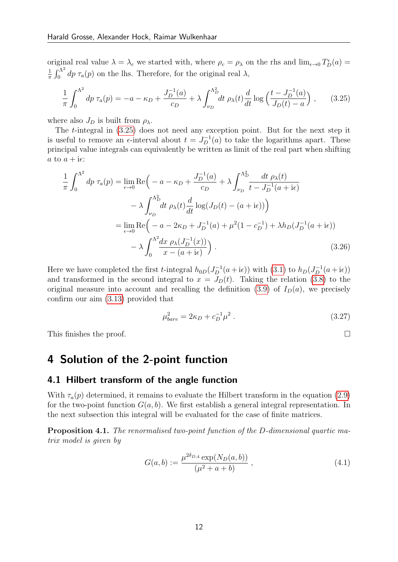original real value  $\lambda = \lambda_c$  we started with, where  $\rho_c = \rho_\lambda$  on the rhs and  $\lim_{\epsilon \to 0} T_D^{\epsilon}(a) =$ 1  $\frac{1}{\pi} \int_0^{\Lambda^2} dp \tau_a(p)$  on the lhs. Therefore, for the original real  $\lambda$ ,

<span id="page-11-1"></span>
$$
\frac{1}{\pi} \int_0^{\Lambda^2} dp \,\tau_a(p) = -a - \kappa_D + \frac{J_D^{-1}(a)}{c_D} + \lambda \int_{\nu_D}^{\Lambda_D^2} dt \,\rho_\lambda(t) \frac{d}{dt} \log \left( \frac{t - J_D^{-1}(a)}{J_D(t) - a} \right) ,\tag{3.25}
$$

where also  $J_D$  is built from  $\rho_{\lambda}$ .

The t-integral in [\(3.25\)](#page-11-1) does not need any exception point. But for the next step it is useful to remove an  $\epsilon$ -interval about  $t = J_D^{-1}(a)$  to take the logarithms apart. These principal value integrals can equivalently be written as limit of the real part when shifting a to  $a + i\epsilon$ :

$$
\frac{1}{\pi} \int_0^{\Lambda^2} dp \,\tau_a(p) = \lim_{\epsilon \to 0} \text{Re}\Big(-a - \kappa_D + \frac{J_D^{-1}(a)}{c_D} + \lambda \int_{\nu_D}^{\Lambda^2_D} \frac{dt \,\rho_{\lambda}(t)}{t - J_D^{-1}(a + i\epsilon)} -\lambda \int_{\nu_D}^{\Lambda^2_D} \frac{dt \,\rho_{\lambda}(t)}{dt} \log(J_D(t) - (a + i\epsilon))\Big)
$$
  
= 
$$
\lim_{\epsilon \to 0} \text{Re}\Big(-a - 2\kappa_D + J_D^{-1}(a) + \mu^2(1 - c_D^{-1}) + \lambda h_D(J_D^{-1}(a + i\epsilon)) -\lambda \int_0^{\Lambda^2} \frac{dx \,\rho_{\lambda}(J_D^{-1}(x))}{x - (a + i\epsilon)}\Big).
$$
(3.26)

Here we have completed the first *t*-integral  $h_{0D}(J_D^{-1}(a + i\epsilon))$  with [\(3.1\)](#page-6-4) to  $h_D(J_D^{-1}(a + i\epsilon))$ and transformed in the second integral to  $x = J<sub>D</sub>(t)$ . Taking the relation [\(3.8\)](#page-7-0) to the original measure into account and recalling the definition [\(3.9\)](#page-8-0) of  $I_D(a)$ , we precisely confirm our aim [\(3.13\)](#page-8-3) provided that

$$
\mu_{bare}^2 = 2\kappa_D + c_D^{-1} \mu^2 \ . \tag{3.27}
$$

This finishes the proof.  $\Box$ 

## <span id="page-11-0"></span>4 Solution of the 2-point function

### 4.1 Hilbert transform of the angle function

With  $\tau_a(p)$  determined, it remains to evaluate the Hilbert transform in the equation [\(2.9\)](#page-5-0) for the two-point function  $G(a, b)$ . We first establish a general integral representation. In the next subsection this integral will be evaluated for the case of finite matrices.

<span id="page-11-3"></span>Proposition 4.1. The renormalised two-point function of the D-dimensional quartic matrix model is given by

<span id="page-11-2"></span>
$$
G(a,b) := \frac{\mu^{2\delta_{D,4}} \exp(N_D(a,b))}{(\mu^2 + a + b)},
$$
\n(4.1)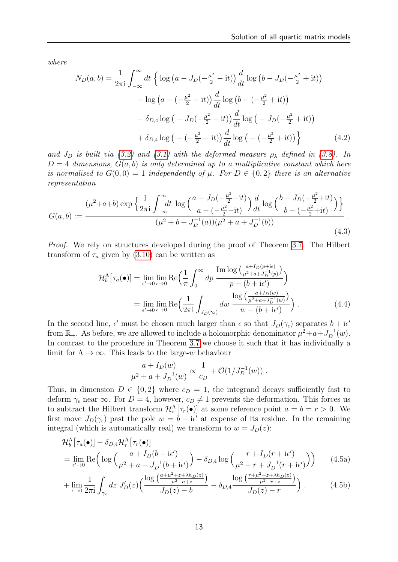where

<span id="page-12-3"></span>
$$
N_D(a, b) = \frac{1}{2\pi i} \int_{-\infty}^{\infty} dt \left\{ \log \left( a - J_D(-\frac{\mu^2}{2} - it) \right) \frac{d}{dt} \log \left( b - J_D(-\frac{\mu^2}{2} + it) \right) - \log \left( a - (-\frac{\mu^2}{2} - it) \right) \frac{d}{dt} \log \left( b - (-\frac{\mu^2}{2} + it) \right) - \delta_{D,4} \log \left( -J_D(-\frac{\mu^2}{2} - it) \right) \frac{d}{dt} \log \left( -J_D(-\frac{\mu^2}{2} + it) \right) + \delta_{D,4} \log \left( -(-\frac{\mu^2}{2} - it) \right) \frac{d}{dt} \log \left( -(-\frac{\mu^2}{2} + it) \right) \right\}
$$
(4.2)

and  $J_D$  is built via [\(3.2\)](#page-6-3) and [\(3.1\)](#page-6-4) with the deformed measure  $\rho_{\lambda}$  defined in [\(3.8\)](#page-7-0). In  $D = 4$  dimensions,  $G(a, b)$  is only determined up to a multiplicative constant which here is normalised to  $G(0,0) = 1$  independently of  $\mu$ . For  $D \in \{0,2\}$  there is an alternative representation

$$
G(a,b) := \frac{(\mu^2 + a + b) \exp\left\{\frac{1}{2\pi i} \int_{-\infty}^{\infty} dt \log\left(\frac{a - J_D(-\frac{\mu^2}{2} - it)}{a - (-\frac{\mu^2}{2} - it)}\right) \frac{d}{dt} \log\left(\frac{b - J_D(-\frac{\mu^2}{2} + it)}{b - (-\frac{\mu^2}{2} + it)}\right)\right\}}{(\mu^2 + b + J_D^{-1}(a))(\mu^2 + a + J_D^{-1}(b))}.
$$
\n(4.3)

Proof. We rely on structures developed during the proof of Theorem [3.7.](#page-8-4) The Hilbert transform of  $\tau_a$  given by [\(3.10\)](#page-8-2) can be written as

<span id="page-12-2"></span>
$$
\mathcal{H}_{b}^{\Lambda}[\tau_{a}(\bullet)] = \lim_{\epsilon' \to 0} \lim_{\epsilon \to 0} \text{Re}\Big(\frac{1}{\pi} \int_{0}^{\infty} dp \, \frac{\text{Im} \log \big(\frac{a + I_{D}(p + i\epsilon)}{\mu^{2} + a + J_{D}^{-1}(p)}\big)}{p - (b + i\epsilon')}\Big) \n= \lim_{\epsilon' \to 0} \lim_{\epsilon \to 0} \text{Re}\Big(\frac{1}{2\pi i} \int_{J_{D}(\gamma_{\epsilon})} dw \, \frac{\log \big(\frac{a + I_{D}(w)}{\mu^{2} + a + J_{D}^{-1}(w)}\big)}{w - (b + i\epsilon')}\Big) .
$$
\n(4.4)

In the second line,  $\epsilon'$  must be chosen much larger than  $\epsilon$  so that  $J_D(\gamma_{\epsilon})$  separates  $b + i\epsilon'$ from  $\mathbb{R}_+$ . As before, we are allowed to include a holomorphic denominator  $\mu^2 + a + J_D^{-1}(w)$ . In contrast to the procedure in Theorem [3.7](#page-8-4) we choose it such that it has individually a limit for  $\Lambda \to \infty$ . This leads to the large-w behaviour

<span id="page-12-1"></span><span id="page-12-0"></span>
$$
\frac{a+I_D(w)}{\mu^2+a+J_D^{-1}(w)} \propto \frac{1}{c_D} + \mathcal{O}(1/J_D^{-1}(w)).
$$

Thus, in dimension  $D \in \{0, 2\}$  where  $c_D = 1$ , the integrand decays sufficiently fast to deform  $\gamma_{\epsilon}$  near  $\infty$ . For  $D=4$ , however,  $c_D \neq 1$  prevents the deformation. This forces us to subtract the Hilbert transform  $\mathcal{H}_r^{\Lambda}[\tau_r(\bullet)]$  at some reference point  $a = b = r > 0$ . We first move  $J_D(\gamma_e)$  past the pole  $w = \overline{b} + i\epsilon'$  at expense of its residue. In the remaining integral (which is automatically real) we transform to  $w = J_D(z)$ :

$$
\mathcal{H}_{b}^{\Lambda} \left[ \tau_{a}(\bullet) \right] - \delta_{D,4} \mathcal{H}_{r}^{\Lambda} \left[ \tau_{r}(\bullet) \right]
$$
\n
$$
= \lim_{\epsilon' \to 0} \text{Re} \left( \log \left( \frac{a + I_{D}(b + i\epsilon')}{\mu^{2} + a + J_{D}^{-1}(b + i\epsilon')} \right) - \delta_{D,4} \log \left( \frac{r + I_{D}(r + i\epsilon')}{\mu^{2} + r + J_{D}^{-1}(r + i\epsilon')} \right) \right) \tag{4.5a}
$$

$$
+\lim_{\epsilon \to 0} \frac{1}{2\pi i} \int_{\gamma_{\epsilon}} dz J'_{D}(z) \left( \frac{\log \left( \frac{a+\mu^{2}+z+\lambda h_{D}(z)}{\mu^{2}+a+z} \right)}{J_{D}(z)-b} - \delta_{D,4} \frac{\log \left( \frac{r+\mu^{2}+z+\lambda h_{D}(z)}{\mu^{2}+r+z} \right)}{J_{D}(z)-r} \right). \tag{4.5b}
$$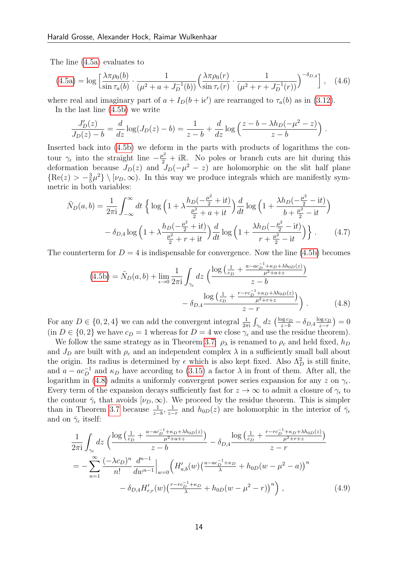The line [\(4.5a\)](#page-12-0) evaluates to

$$
(4.5a) = \log \left[ \frac{\lambda \pi \rho_0(b)}{\sin \tau_a(b)} \cdot \frac{1}{(\mu^2 + a + J_D^{-1}(b))} \left( \frac{\lambda \pi \rho_0(r)}{\sin \tau_r(r)} \cdot \frac{1}{(\mu^2 + r + J_D^{-1}(r))} \right)^{-\delta_{D,4}} \right], \quad (4.6)
$$

where real and imaginary part of  $a + I_D(b + i\epsilon')$  are rearranged to  $\tau_a(b)$  as in [\(3.12\)](#page-8-5).

In the last line [\(4.5b\)](#page-12-1) we write

<span id="page-13-1"></span>
$$
\frac{J'_D(z)}{J_D(z) - b} = \frac{d}{dz} \log(J_D(z) - b) = \frac{1}{z - b} + \frac{d}{dz} \log\left(\frac{z - b - \lambda h_D(-\mu^2 - z)}{z - b}\right).
$$

Inserted back into [\(4.5b\)](#page-12-1) we deform in the parts with products of logarithms the contour  $\gamma_{\epsilon}$  into the straight line  $-\frac{\mu^2}{2} + i\mathbb{R}$ . No poles or branch cuts are hit during this deformation because  $J_D(z)$  and  $J_D(-\mu^2 - z)$  are holomorphic on the slit half plane  $\{\text{Re}(z) > -\frac{3}{5}\}$  $\frac{3}{5}\mu^2$   $\langle \nu_D, \infty \rangle$ . In this way we produce integrals which are manifestly symmetric in both variables:

$$
\tilde{N}_D(a,b) = \frac{1}{2\pi i} \int_{-\infty}^{\infty} dt \left\{ \log \left( 1 + \lambda \frac{h_D(-\frac{\mu^2}{2} + it)}{\frac{\mu^2}{2} + a + it} \right) \frac{d}{dt} \log \left( 1 + \frac{\lambda h_D(-\frac{\mu^2}{2} - it)}{b + \frac{\mu^2}{2} - it} \right) - \delta_{D,4} \log \left( 1 + \lambda \frac{h_D(-\frac{\mu^2}{2} + it)}{\frac{\mu^2}{2} + r + it} \right) \frac{d}{dt} \log \left( 1 + \frac{\lambda h_D(-\frac{\mu^2}{2} - it)}{r + \frac{\mu^2}{2} - it} \right) \right\}.
$$
\n(4.7)

The counterterm for  $D = 4$  is indispensable for convergence. Now the line [\(4.5b\)](#page-12-1) becomes

<span id="page-13-2"></span><span id="page-13-0"></span>
$$
(4.5b) = \tilde{N}_D(a,b) + \lim_{\epsilon \to 0} \frac{1}{2\pi i} \int_{\gamma_{\epsilon}} dz \left( \frac{\log\left(\frac{1}{c_D} + \frac{a - ac_D^{-1} + \kappa_D + \lambda h_{0D}(z)}{\mu^2 + a + z}\right)}{z - b} - \delta_{D,4} \frac{\log\left(\frac{1}{c_D} + \frac{r - rc_D^{-1} + \kappa_D + \lambda h_{0D}(z)}{\mu^2 + r + z}\right)}{z - r} \right). \tag{4.8}
$$

For any  $D \in \{0, 2, 4\}$  we can add the convergent integral  $\frac{1}{2\pi i} \int_{\gamma \epsilon} dz \left( \frac{\log c_D}{z - b} - \delta_{D,4} \frac{\log c_D}{z - r} \right)$  $\frac{\log c_D}{z-r}\big)=0$ (in  $D \in \{0, 2\}$  we have  $c_D = 1$  whereas for  $D = 4$  we close  $\gamma_{\epsilon}$  and use the residue theorem).

We follow the same strategy as in Theorem [3.7:](#page-8-4)  $\rho_{\lambda}$  is renamed to  $\rho_c$  and held fixed,  $h_D$ and  $J_D$  are built with  $\rho_c$  and an independent complex  $\lambda$  in a sufficiently small ball about the origin. Its radius is determined by  $\epsilon$  which is also kept fixed. Also  $\Lambda_D^2$  is still finite, and  $a - ac_D^{-1}$  and  $\kappa_D$  have according to [\(3.15\)](#page-9-3) a factor  $\lambda$  in front of them. After all, the logarithm in [\(4.8\)](#page-13-0) admits a uniformly convergent power series expansion for any z on  $\gamma_{\epsilon}$ . Every term of the expansion decays sufficiently fast for  $z \to \infty$  to admit a closure of  $\gamma_{\epsilon}$  to the contour  $\bar{\gamma}_{\epsilon}$  that avoids  $[\nu_D,\infty)$ . We proceed by the residue theorem. This is simpler than in Theorem [3.7](#page-8-4) because  $\frac{1}{z-b}$ ,  $\frac{1}{z-a}$  $\frac{1}{z-r}$  and  $h_{0D}(z)$  are holomorphic in the interior of  $\bar{\gamma}_e$ and on  $\bar{\gamma}_{\epsilon}$  itself:

$$
\frac{1}{2\pi i} \int_{\gamma_{\epsilon}} dz \left( \frac{\log\left(\frac{1}{c_D} + \frac{a - ac_D^{-1} + \kappa_D + \lambda h_{0D}(z)}{\mu^2 + a + z}\right)}{z - b} - \delta_{D,4} \frac{\log\left(\frac{1}{c_D} + \frac{r - rc_D^{-1} + \kappa_D + \lambda h_{0D}(z)}{\mu^2 + r + z}\right)}{z - r} \right)
$$
\n
$$
= -\sum_{n=1}^{\infty} \frac{(-\lambda c_D)^n}{n!} \frac{d^{n-1}}{dw^{n-1}} \Big|_{w=0} \left( H'_{a,b}(w) \left( \frac{a - ac_D^{-1} + \kappa_D}{\lambda} + h_{0D}(w - \mu^2 - a) \right)^n - \delta_{D,4} H'_{r,r}(w) \left( \frac{r - rc_D^{-1} + \kappa_D}{\lambda} + h_{0D}(w - \mu^2 - r) \right)^n \right), \tag{4.9}
$$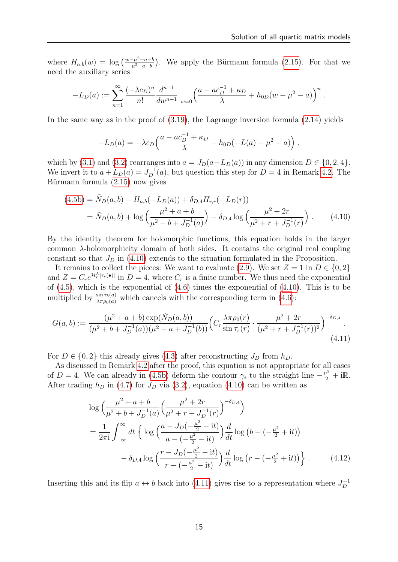where  $H_{a,b}(w) = \log \left( \frac{w - \mu^2 - a - b}{\mu^2 - a - b} \right)$  $\frac{\sqrt{v-\mu^2-a-b}}{-\mu^2-a-b}$ . We apply the Bürmann formula [\(2.15\)](#page-6-6). For that we need the auxiliary series

$$
-L_D(a) := \sum_{n=1}^{\infty} \frac{(-\lambda c_D)^n}{n!} \frac{d^{n-1}}{dw^{n-1}} \Big|_{w=0} \left( \frac{a - ac_D^{-1} + \kappa_D}{\lambda} + h_{0D}(w - \mu^2 - a) \right)^n.
$$

In the same way as in the proof of  $(3.19)$ , the Lagrange inversion formula  $(2.14)$  yields

<span id="page-14-0"></span>
$$
-L_D(a) = -\lambda c_D \left( \frac{a - ac_D^{-1} + \kappa_D}{\lambda} + h_{0D}(-L(a) - \mu^2 - a) \right),
$$

which by [\(3.1\)](#page-6-4) and [\(3.2\)](#page-6-3) rearranges into  $a = J_D(a+L_D(a))$  in any dimension  $D \in \{0, 2, 4\}.$ We invert it to  $a + L_D(a) = J_D^{-1}(a)$ , but question this step for  $D = 4$  in Remark [4.2.](#page-15-0) The Bürmann formula  $(2.15)$  now gives

$$
(4.5b) = \tilde{N}_D(a,b) - H_{a,b}(-L_D(a)) + \delta_{D,4}H_{r,r}(-L_D(r))
$$
  
=  $\tilde{N}_D(a,b) + \log \left(\frac{\mu^2 + a + b}{\mu^2 + b + J_D^{-1}(a)}\right) - \delta_{D,4} \log \left(\frac{\mu^2 + 2r}{\mu^2 + r + J_D^{-1}(r)}\right)$ . (4.10)

By the identity theorem for holomorphic functions, this equation holds in the larger common λ-holomorphicity domain of both sides. It contains the original real coupling constant so that  $J_D$  in [\(4.10\)](#page-14-0) extends to the situation formulated in the Proposition.

It remains to collect the pieces: We want to evaluate [\(2.9\)](#page-5-0). We set  $Z = 1$  in  $D \in \{0, 2\}$ and  $Z = C_r e^{\mathcal{H}_r^{\Lambda}[\tau_r(\bullet)]}$  in  $D = 4$ , where  $C_r$  is a finite number. We thus need the exponential of  $(4.5)$ , which is the exponential of  $(4.6)$  times the exponential of  $(4.10)$ . This is to be multiplied by  $\frac{\sin \tau_b(a)}{\lambda \pi \rho_0(a)}$  which cancels with the corresponding term in [\(4.6\)](#page-13-1):

$$
G(a,b) := \frac{(\mu^2 + a + b) \exp(\tilde{N}_D(a,b))}{(\mu^2 + b + J_D^{-1}(a))(\mu^2 + a + J_D^{-1}(b))} \left( C_r \frac{\lambda \pi \rho_0(r)}{\sin \tau_r(r)} \cdot \frac{\mu^2 + 2r}{(\mu^2 + r + J_D^{-1}(r))^2} \right)^{-\delta_{D,4}}.
$$
\n(4.11)

For  $D \in \{0, 2\}$  this already gives [\(4.3\)](#page-12-2) after reconstructing  $J_D$  from  $h_D$ .

As discussed in Remark [4.2](#page-15-0) after the proof, this equation is not appropriate for all cases of D = 4. We can already in [\(4.5b\)](#page-12-1) deform the contour  $\gamma_{\epsilon}$  to the straight line  $-\frac{\mu^2}{2} + i\mathbb{R}$ . After trading  $h_D$  in [\(4.7\)](#page-13-2) for  $J_D$  via [\(3.2\)](#page-6-3), equation [\(4.10\)](#page-14-0) can be written as

<span id="page-14-1"></span>
$$
\log \left( \frac{\mu^2 + a + b}{\mu^2 + b + J_D^{-1}(a)} \left( \frac{\mu^2 + 2r}{\mu^2 + r + J_D^{-1}(r)} \right)^{-\delta_{D,4}} \right)
$$
  
= 
$$
\frac{1}{2\pi i} \int_{-\infty}^{\infty} dt \left\{ \log \left( \frac{a - J_D(-\frac{\mu^2}{2} - it)}{a - (-\frac{\mu^2}{2} - it)} \right) \frac{d}{dt} \log \left( b - (-\frac{\mu^2}{2} + it) \right) - \delta_{D,4} \log \left( \frac{r - J_D(-\frac{\mu^2}{2} - it)}{r - (-\frac{\mu^2}{2} - it)} \right) \frac{d}{dt} \log \left( r - (-\frac{\mu^2}{2} + it) \right) \right\}.
$$
 (4.12)

Inserting this and its flip  $a \leftrightarrow b$  back into [\(4.11\)](#page-14-1) gives rise to a representation where  $J_D^{-1}$ D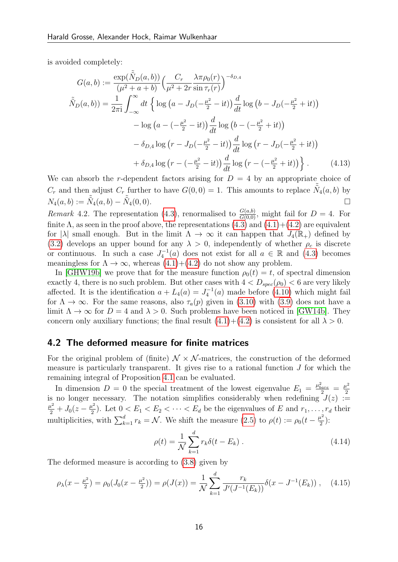is avoided completely:

$$
G(a,b) := \frac{\exp(\tilde{\tilde{N}}_D(a,b))}{(\mu^2 + a + b)} \left(\frac{C_r}{\mu^2 + 2r} \frac{\lambda \pi \rho_0(r)}{\sin \tau_r(r)}\right)^{-\delta_{D,4}}
$$
  

$$
\tilde{\tilde{N}}_D(a,b)) = \frac{1}{2\pi i} \int_{-\infty}^{\infty} dt \left\{ \log\left(a - J_D(-\frac{\mu^2}{2} - it)\right) \frac{d}{dt} \log\left(b - J_D(-\frac{\mu^2}{2} + it)\right) - \log\left(a - (-\frac{\mu^2}{2} - it)\right) \frac{d}{dt} \log\left(b - (-\frac{\mu^2}{2} + it)\right) - \delta_{D,4} \log\left(r - J_D(-\frac{\mu^2}{2} - it)\right) \frac{d}{dt} \log\left(r - J_D(-\frac{\mu^2}{2} + it)\right) + \delta_{D,4} \log\left(r - (-\frac{\mu^2}{2} - it)\right) \frac{d}{dt} \log\left(r - (-\frac{\mu^2}{2} + it)\right) \right\}.
$$
 (4.13)

We can absorb the r-dependent factors arising for  $D = 4$  by an appropriate choice of  $C_r$  and then adjust  $C_r$  further to have  $G(0,0) = 1$ . This amounts to replace  $\tilde{\tilde{N}}_4(a,b)$  by  $N_4(a, b) := \tilde{\tilde{N}}_4(a, b) - \tilde{\tilde{N}}_4(0, 0).$ 

<span id="page-15-0"></span>*Remark* 4.2. The representation [\(4.3\)](#page-12-2), renormalised to  $\frac{G(a,b)}{G(0,0)}$ , might fail for  $D = 4$ . For finite  $\Lambda$ , as seen in the proof above, the representations  $(4.3)$  and  $(4.1)+(4.2)$  $(4.1)+(4.2)$  $(4.1)+(4.2)$  are equivalent for  $|\lambda|$  small enough. But in the limit  $\Lambda \to \infty$  it can happen that  $J_4(\mathbb{R}_+)$  defined by [\(3.2\)](#page-6-3) develops an upper bound for any  $\lambda > 0$ , independently of whether  $\rho_c$  is discrete or continuous. In such a case  $J_4^{-1}(a)$  does not exist for all  $a \in \mathbb{R}$  and [\(4.3\)](#page-12-2) becomes meaningless for  $\Lambda \to \infty$ , whereas  $(4.1)+(4.2)$  $(4.1)+(4.2)$  $(4.1)+(4.2)$  do not show any problem.

In [\[GHW19b\]](#page-25-12) we prove that for the measure function  $\rho_0(t) = t$ , of spectral dimension exactly 4, there is no such problem. But other cases with  $4 < D_{spec}(\rho_0) < 6$  are very likely affected. It is the identification  $a + L_4(a) = J_4^{-1}(a)$  made before [\(4.10\)](#page-14-0) which might fail for  $\Lambda \to \infty$ . For the same reasons, also  $\tau_a(p)$  given in [\(3.10\)](#page-8-2) with [\(3.9\)](#page-8-0) does not have a limit  $\Lambda \to \infty$  for  $D = 4$  and  $\lambda > 0$ . Such problems have been noticed in [\[GW14b\]](#page-26-4). They concern only auxiliary functions; the final result  $(4.1)+(4.2)$  $(4.1)+(4.2)$  $(4.1)+(4.2)$  is consistent for all  $\lambda > 0$ .

### 4.2 The deformed measure for finite matrices

For the original problem of (finite)  $\mathcal{N} \times \mathcal{N}$ -matrices, the construction of the deformed measure is particularly transparent. It gives rise to a rational function  $J$  for which the remaining integral of Proposition [4.1](#page-11-3) can be evaluated.

In dimension  $D = 0$  the special treatment of the lowest eigenvalue  $E_1 = \frac{\mu_{bare}^2}{2} = \frac{\mu^2}{2}$ 2 is no longer necessary. The notation simplifies considerably when redefining  $J(z) :=$  $\frac{\mu^2}{2}+J_0(z-\frac{\mu^2}{2})$  $\frac{d^2}{2}$ ). Let  $0 < E_1 < E_2 < \cdots < E_d$  be the eigenvalues of E and  $r_1, \ldots, r_d$  their multiplicities, with  $\sum_{k=1}^{d} r_k = \mathcal{N}$ . We shift the measure [\(2.5\)](#page-3-5) to  $\rho(t) := \rho_0(t - \frac{\mu^2}{2})$  $\frac{i^2}{2}$ ):

$$
\rho(t) = \frac{1}{N} \sum_{k=1}^{d} r_k \delta(t - E_k) \,. \tag{4.14}
$$

The deformed measure is according to [\(3.8\)](#page-7-0) given by

$$
\rho_{\lambda}(x - \frac{\mu^2}{2}) = \rho_0(J_0(x - \frac{\mu^2}{2})) = \rho(J(x)) = \frac{1}{\mathcal{N}} \sum_{k=1}^d \frac{r_k}{J'(J^{-1}(E_k))} \delta(x - J^{-1}(E_k)), \quad (4.15)
$$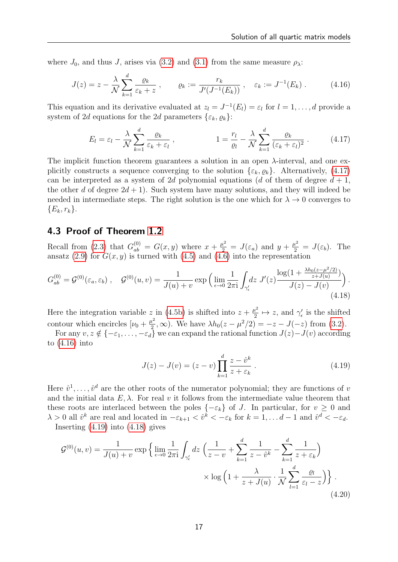where  $J_0$ , and thus J, arises via [\(3.2\)](#page-6-3) and [\(3.1\)](#page-6-4) from the same measure  $\rho_{\lambda}$ :

$$
J(z) = z - \frac{\lambda}{\mathcal{N}} \sum_{k=1}^d \frac{\varrho_k}{\varepsilon_k + z} , \qquad \varrho_k := \frac{r_k}{J'(J^{-1}(E_k))} , \quad \varepsilon_k := J^{-1}(E_k) .
$$
 (4.16)

This equation and its derivative evaluated at  $z_l = J^{-1}(E_l) = \varepsilon_l$  for  $l = 1, ..., d$  provide a system of 2d equations for the 2d parameters  $\{\varepsilon_k, \varrho_k\}$ :

<span id="page-16-1"></span><span id="page-16-0"></span>
$$
E_l = \varepsilon_l - \frac{\lambda}{\mathcal{N}} \sum_{k=1}^d \frac{\varrho_k}{\varepsilon_k + \varepsilon_l} \,, \qquad 1 = \frac{r_l}{\varrho_l} - \frac{\lambda}{\mathcal{N}} \sum_{k=1}^d \frac{\varrho_k}{(\varepsilon_k + \varepsilon_l)^2} \,. \tag{4.17}
$$

The implicit function theorem guarantees a solution in an open  $\lambda$ -interval, and one explicitly constructs a sequence converging to the solution  $\{\varepsilon_k, \varrho_k\}$ . Alternatively, [\(4.17\)](#page-16-0) can be interpreted as a system of 2d polynomial equations (d of them of degree  $d + 1$ , the other d of degree  $2d + 1$ ). Such system have many solutions, and they will indeed be needed in intermediate steps. The right solution is the one which for  $\lambda \to 0$  converges to  ${E_k, r_k}.$ 

### 4.3 Proof of Theorem [1.2](#page-1-1)

Recall from [\(2.3\)](#page-3-6) that  $G_{ab}^{(0)} = G(x, y)$  where  $x + \frac{\mu^2}{2} = J(\varepsilon_a)$  and  $y + \frac{\mu^2}{2} = J(\varepsilon_b)$ . The ansatz [\(2.9\)](#page-5-0) for  $G(x, y)$  is turned with [\(4.5\)](#page-12-1) and [\(4.6\)](#page-13-1) into the representation

$$
G_{ab}^{(0)} = \mathcal{G}^{(0)}(\varepsilon_a, \varepsilon_b) , \quad \mathcal{G}^{(0)}(u, v) = \frac{1}{J(u) + v} \exp\left(\lim_{\epsilon \to 0} \frac{1}{2\pi i} \int_{\gamma'_\epsilon} dz \ J'(z) \frac{\log(1 + \frac{\lambda h_0(z - \mu^2/2)}{z + J(u)})}{J(z) - J(v)}\right).
$$
\n(4.18)

Here the integration variable z in [\(4.5b\)](#page-12-1) is shifted into  $z + \frac{\mu^2}{2}$  $\frac{u^2}{2} \mapsto z$ , and  $\gamma'_{\epsilon}$  is the shifted contour which encircles  $[\nu_0 + \frac{\mu^2}{2}]$  $\frac{1}{2}$ , ∞). We have  $\lambda h_0(z - \mu^2/2) = -z - J(-z)$  from [\(3.2\)](#page-6-3).

For any  $v, z \notin \{-\varepsilon_1, \ldots, -\varepsilon_d\}$  we can expand the rational function  $J(z) - J(v)$  according to [\(4.16\)](#page-16-1) into

<span id="page-16-4"></span><span id="page-16-3"></span><span id="page-16-2"></span>
$$
J(z) - J(v) = (z - v) \prod_{k=1}^{d} \frac{z - \hat{v}^k}{z + \varepsilon_k}.
$$
 (4.19)

Here  $\hat{v}^1, \ldots, \hat{v}^d$  are the other roots of the numerator polynomial; they are functions of v and the initial data  $E, \lambda$ . For real v it follows from the intermediate value theorem that these roots are interlaced between the poles  $\{-\varepsilon_k\}$  of J. In particular, for  $v \geq 0$  and  $\lambda > 0$  all  $\hat{v}^k$  are real and located in  $-\varepsilon_{k+1} < \hat{v}^k < -\varepsilon_k$  for  $k = 1, \ldots d-1$  and  $\hat{v}^d < -\varepsilon_d$ .

Inserting  $(4.19)$  into  $(4.18)$  gives

$$
\mathcal{G}^{(0)}(u,v) = \frac{1}{J(u)+v} \exp\left\{\lim_{\epsilon \to 0} \frac{1}{2\pi i} \int_{\gamma'_\epsilon} dz \left(\frac{1}{z-v} + \sum_{k=1}^d \frac{1}{z-\hat{v}^k} - \sum_{k=1}^d \frac{1}{z+\varepsilon_k}\right) \right.\right.
$$

$$
\times \log\left(1 + \frac{\lambda}{z+J(u)} \cdot \frac{1}{\mathcal{N}} \sum_{l=1}^d \frac{\varrho_l}{\varepsilon_l - z}\right)\right\}.
$$
(4.20)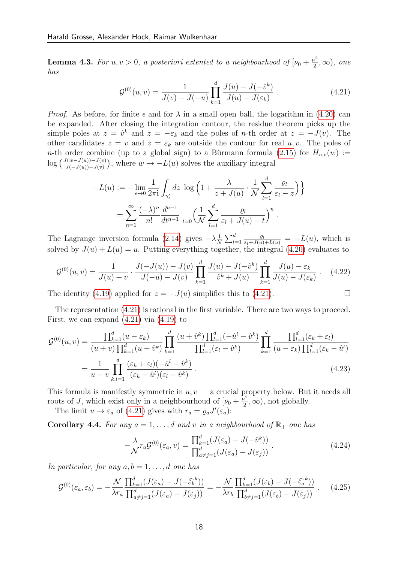**Lemma 4.3.** For  $u, v > 0$ , a posteriori extented to a neighbourhood of  $[\nu_0 + \frac{\mu^2}{2}]$  $\frac{u^2}{2}, \infty$ ), one has

<span id="page-17-0"></span>
$$
\mathcal{G}^{(0)}(u,v) = \frac{1}{J(v) - J(-u)} \prod_{k=1}^{d} \frac{J(u) - J(-\hat{v}^k)}{J(u) - J(\varepsilon_k)}.
$$
\n(4.21)

*Proof.* As before, for finite  $\epsilon$  and for  $\lambda$  in a small open ball, the logarithm in [\(4.20\)](#page-16-4) can be expanded. After closing the integration contour, the residue theorem picks up the simple poles at  $z = \hat{v}^k$  and  $z = -\varepsilon_k$  and the poles of *n*-th order at  $z = -J(v)$ . The other candidates  $z = v$  and  $z = \varepsilon_k$  are outside the contour for real u, v. The poles of n-th order combine (up to a global sign) to a Bürmann formula [\(2.15\)](#page-6-6) for  $H_{u,v}(w) :=$  $\log\left(\frac{J(w-J(u))-J(v)}{J(-J(u))-J(v)}\right)$ , where  $w \mapsto -L(u)$  solves the auxiliary integral

$$
-L(u) := -\lim_{\epsilon \to 0} \frac{1}{2\pi i} \int_{\gamma'_\epsilon} dz \, \log \left( 1 + \frac{\lambda}{z + J(u)} \cdot \frac{1}{\mathcal{N}} \sum_{l=1}^d \frac{\varrho_l}{\varepsilon_l - z} \right) \}
$$

$$
= \sum_{n=1}^\infty \frac{(-\lambda)^n}{n!} \frac{d^{n-1}}{dt^{n-1}} \Big|_{t=0} \left( \frac{1}{\mathcal{N}} \sum_{l=1}^d \frac{\varrho_l}{\varepsilon_l + J(u) - t} \right)^n.
$$

The Lagrange inversion formula [\(2.14\)](#page-5-3) gives  $-\lambda \frac{1}{\lambda}$  $\frac{1}{N}\sum_{l=1}^d \frac{\varrho_l}{\varepsilon_l+J(u)+L(u)} = -L(u)$ , which is solved by  $J(u) + L(u) = u$ . Putting everything together, the integral [\(4.20\)](#page-16-4) evaluates to

$$
\mathcal{G}^{(0)}(u,v) = \frac{1}{J(u)+v} \cdot \frac{J(-J(u))-J(v)}{J(-u)-J(v)} \prod_{k=1}^{d} \frac{J(u)-J(-\hat{v}^k)}{\hat{v}^k+J(u)} \prod_{k=1}^{d} \frac{J(u)-\varepsilon_k}{J(u)-J(\varepsilon_k)} \,. \tag{4.22}
$$

The identity [\(4.19\)](#page-16-2) applied for  $z = -J(u)$  simplifies this to [\(4.21\)](#page-17-0).

The representation [\(4.21\)](#page-17-0) is rational in the first variable. There are two ways to proceed. First, we can expand  $(4.21)$  via  $(4.19)$  to

$$
\mathcal{G}^{(0)}(u,v) = \frac{\prod_{k=1}^{d} (u - \varepsilon_k)}{(u+v)\prod_{k=1}^{d} (u + \hat{v}^k)} \prod_{k=1}^{d} \frac{(u + \hat{v}^k) \prod_{l=1}^{d} (-\hat{u}^l - \hat{v}^k)}{\prod_{l=1}^{d} (\varepsilon_l - \hat{v}^k)} \prod_{k=1}^{d} \frac{\prod_{l=1}^{d} (\varepsilon_k + \varepsilon_l)}{(u - \varepsilon_k) \prod_{l=1}^{d} (\varepsilon_k - \hat{u}^l)}
$$

$$
= \frac{1}{u+v} \prod_{k,l=1}^{d} \frac{(\varepsilon_k + \varepsilon_l)(-\hat{u}^l - \hat{v}^k)}{(\varepsilon_k - \hat{u}^l)(\varepsilon_l - \hat{v}^k)}.
$$
(4.23)

This formula is manifestly symmetric in  $u, v - a$  crucial property below. But it needs all roots of J, which exist only in a neighbourhoud of  $[\nu_0 + \frac{\mu^2}{2}]$  $\frac{1}{2}$ ,  $\infty$ ), not globally.

The limit  $u \to \varepsilon_a$  of [\(4.21\)](#page-17-0) gives with  $r_a = \varrho_a J'(\varepsilon_a)$ :

**Corollary 4.4.** For any  $a = 1, \ldots, d$  and v in a neighbourhood of  $\mathbb{R}_+$  one has

<span id="page-17-3"></span><span id="page-17-2"></span><span id="page-17-1"></span>
$$
-\frac{\lambda}{\mathcal{N}}r_a \mathcal{G}^{(0)}(\varepsilon_a, v) = \frac{\prod_{k=1}^d (J(\varepsilon_a) - J(-\hat{v}^k))}{\prod_{a \neq j=1}^d (J(\varepsilon_a) - J(\varepsilon_j))}.
$$
\n(4.24)

In particular, for any  $a, b = 1, \ldots, d$  one has

$$
\mathcal{G}^{(0)}(\varepsilon_a, \varepsilon_b) = -\frac{\mathcal{N}}{\lambda r_a} \frac{\prod_{k=1}^d (J(\varepsilon_a) - J(-\widehat{\varepsilon_b}^k))}{\prod_{a \neq j=1}^d (J(\varepsilon_a) - J(\varepsilon_j))} = -\frac{\mathcal{N}}{\lambda r_b} \frac{\prod_{k=1}^d (J(\varepsilon_b) - J(-\widehat{\varepsilon_a}^k))}{\prod_{b \neq j=1}^d (J(\varepsilon_b) - J(\varepsilon_j))} \,. \tag{4.25}
$$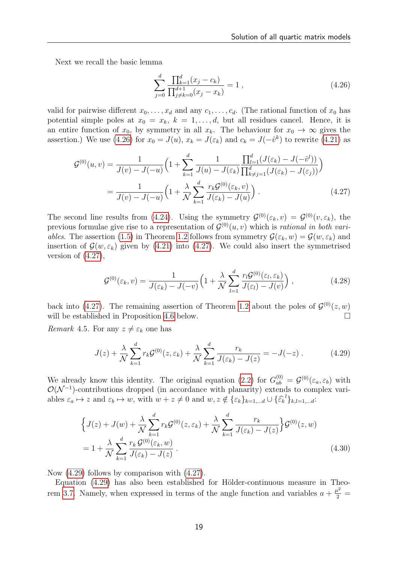Next we recall the basic lemma

<span id="page-18-1"></span><span id="page-18-0"></span>
$$
\sum_{j=0}^{d} \frac{\prod_{k=1}^{d} (x_j - c_k)}{\prod_{j \neq k=0}^{d+1} (x_j - x_k)} = 1 ,
$$
\n(4.26)

valid for pairwise different  $x_0, \ldots, x_d$  and any  $c_1, \ldots, c_d$ . (The rational function of  $x_0$  has potential simple poles at  $x_0 = x_k$ ,  $k = 1, \ldots, d$ , but all residues cancel. Hence, it is an entire function of  $x_0$ , by symmetry in all  $x_k$ . The behaviour for  $x_0 \to \infty$  gives the assertion.) We use [\(4.26\)](#page-18-0) for  $x_0 = J(u)$ ,  $x_k = J(\varepsilon_k)$  and  $c_k = J(-\hat{v}^k)$  to rewrite [\(4.21\)](#page-17-0) as

$$
\mathcal{G}^{(0)}(u,v) = \frac{1}{J(v) - J(-u)} \Big( 1 + \sum_{k=1}^{d} \frac{1}{J(u) - J(\varepsilon_k)} \frac{\prod_{l=1}^{d} (J(\varepsilon_k) - J(-\hat{v}^{l}))}{\prod_{k \neq j=1}^{d} (J(\varepsilon_k) - J(\varepsilon_j))} \Big)
$$
  
= 
$$
\frac{1}{J(v) - J(-u)} \Big( 1 + \frac{\lambda}{\mathcal{N}} \sum_{k=1}^{d} \frac{r_k \mathcal{G}^{(0)}(\varepsilon_k, v)}{J(\varepsilon_k) - J(u)} \Big).
$$
 (4.27)

The second line results from [\(4.24\)](#page-17-1). Using the symmetry  $\mathcal{G}^{(0)}(\varepsilon_k, v) = \mathcal{G}^{(0)}(v, \varepsilon_k)$ , the previous formulae give rise to a representation of  $\mathcal{G}^{(0)}(u, v)$  which is rational in both vari-ables. The assertion [\(1.5\)](#page-2-0) in Theorem [1.2](#page-1-1) follows from symmetry  $\mathcal{G}(\varepsilon_k, w) = \mathcal{G}(w, \varepsilon_k)$  and insertion of  $\mathcal{G}(w, \varepsilon_k)$  given by [\(4.21\)](#page-17-0) into [\(4.27\)](#page-18-1). We could also insert the symmetrised version of  $(4.27)$ ,

<span id="page-18-4"></span>
$$
\mathcal{G}^{(0)}(\varepsilon_k, v) = \frac{1}{J(\varepsilon_k) - J(-v)} \Big( 1 + \frac{\lambda}{\mathcal{N}} \sum_{l=1}^d \frac{r_l \mathcal{G}^{(0)}(\varepsilon_l, \varepsilon_k)}{J(\varepsilon_l) - J(v)} \Big) , \qquad (4.28)
$$

back into [\(4.27\)](#page-18-1). The remaining assertion of Theorem [1.2](#page-1-1) about the poles of  $\mathcal{G}^{(0)}(z,w)$ will be established in Proposition [4.6](#page-19-0) below.

*Remark* 4.5. For any  $z \neq \varepsilon_k$  one has

<span id="page-18-2"></span>
$$
J(z) + \frac{\lambda}{\mathcal{N}} \sum_{k=1}^{d} r_k \mathcal{G}^{(0)}(z, \varepsilon_k) + \frac{\lambda}{\mathcal{N}} \sum_{k=1}^{d} \frac{r_k}{J(\varepsilon_k) - J(z)} = -J(-z) . \tag{4.29}
$$

We already know this identity. The original equation [\(2.2\)](#page-3-7) for  $G_{ab}^{(0)} = \mathcal{G}^{(0)}(\varepsilon_a, \varepsilon_b)$  with  $\mathcal{O}(\mathcal{N}^{-1})$ -contributions dropped (in accordance with planarity) extends to complex variables  $\varepsilon_a \mapsto z$  and  $\varepsilon_b \mapsto w$ , with  $w + z \neq 0$  and  $w, z \notin {\varepsilon_k}_{k=1,\dots,d} \cup {\varepsilon_k}^l_{k,l=1,\dots,d}$ :

<span id="page-18-3"></span>
$$
\left\{J(z) + J(w) + \frac{\lambda}{\mathcal{N}} \sum_{k=1}^{d} r_k \mathcal{G}^{(0)}(z, \varepsilon_k) + \frac{\lambda}{\mathcal{N}} \sum_{k=1}^{d} \frac{r_k}{J(\varepsilon_k) - J(z)}\right\} \mathcal{G}^{(0)}(z, w)
$$
  
= 
$$
1 + \frac{\lambda}{\mathcal{N}} \sum_{k=1}^{d} \frac{r_k \mathcal{G}^{(0)}(\varepsilon_k, w)}{J(\varepsilon_k) - J(z)}.
$$
 (4.30)

Now [\(4.29\)](#page-18-2) follows by comparison with [\(4.27\)](#page-18-1).

Equation  $(4.29)$  has also been established for Hölder-continuous measure in Theo-rem [3.7.](#page-8-4) Namely, when expressed in terms of the angle function and variables  $a + \frac{\mu^2}{2} =$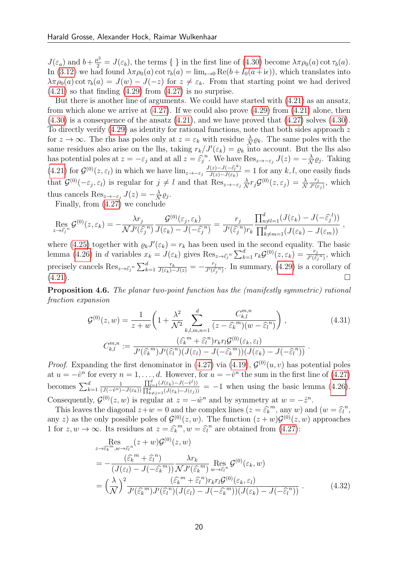$J(\varepsilon_a)$  and  $b+\frac{\mu^2}{2}=J(\varepsilon_b)$ , the terms  $\{\}\$ in the first line of  $(4.30)$  become  $\lambda\pi\rho_0(a)$  cot  $\tau_b(a)$ . In [\(3.12\)](#page-8-5) we had found  $\lambda \pi \rho_0(a)$  cot  $\tau_b(a) = \lim_{\epsilon \to 0} \text{Re}(b + I_0(a + i\epsilon))$ , which translates into  $\lambda \pi \rho_0(a) \cot \tau_b(a) = J(w) - J(-z)$  for  $z \neq \varepsilon_k$ . From that starting point we had derived  $(4.21)$  so that finding  $(4.29)$  from  $(4.27)$  is no surprise.

But there is another line of arguments. We could have started with [\(4.21\)](#page-17-0) as an ansatz, from which alone we arrive at  $(4.27)$ . If we could also prove  $(4.29)$  from  $(4.21)$  alone, then  $(4.30)$  is a consequence of the ansatz  $(4.21)$ , and we have proved that  $(4.27)$  solves  $(4.30)$ . To directly verify [\(4.29\)](#page-18-2) as identity for rational functions, note that both sides approach z for  $z \to \infty$ . The rhs has poles only at  $z = \varepsilon_k$  with residue  $\frac{\lambda}{N} \varrho_k$ . The same poles with the same residues also arise on the lhs, taking  $r_k/J'(\varepsilon_k) = \varrho_k$  into account. But the lhs also has potential poles at  $z = -\varepsilon_j$  and at all  $z = \hat{\varepsilon}_j^n$ . We have  $\text{Res}_{z \to -\varepsilon_j} J(z) = -\frac{\lambda}{\Lambda}$  $\frac{\lambda}{\mathcal{N}}\varrho_j$ . Taking [\(4.21\)](#page-17-0) for  $\mathcal{G}^{(0)}(z,\varepsilon_l)$  in which we have  $\lim_{z\to -\varepsilon_j}\frac{J(z)-J(-\hat{\varepsilon}_l^k)}{J(z)-J(\varepsilon_k)}=1$  for any  $k,l$ , one easily finds that  $\mathcal{G}^{(0)}(-\varepsilon_j, \varepsilon_l)$  is regular for  $j \neq l$  and that  $\text{Res}_{z \to -\varepsilon_j} \frac{\lambda}{\Lambda}$  $\frac{\lambda}{\mathcal{N}} r_j \mathcal{G}^{(0)}(z,\varepsilon_j) \,=\, \frac{\lambda}{\mathcal{N}}$  $r_j$  $\frac{r_j}{J'(\varepsilon_j)}$ , which thus cancels  $\operatorname{Res}_{z\to -\varepsilon_j} J(z) = -\frac{\lambda}{\mathcal{N}}$  $\frac{\lambda}{\mathcal{N}}\varrho_j.$ 

Finally, from [\(4.27\)](#page-18-1) we conclude

$$
\operatorname{Res}_{z \to \widehat{\varepsilon}_j^n} \mathcal{G}^{(0)}(z, \varepsilon_k) = -\frac{\lambda r_j}{\mathcal{N} J'(\widehat{\varepsilon}_j^n)} \frac{\mathcal{G}^{(0)}(\varepsilon_j, \varepsilon_k)}{J(\varepsilon_k) - J(-\widehat{\varepsilon}_j^n)} = \frac{r_j}{J'(\widehat{\varepsilon}_j^n) r_k} \frac{\prod_{n \neq l=1}^d (J(\varepsilon_k) - J(-\widehat{\varepsilon}_j^l))}{\prod_{k \neq m=1}^d (J(\varepsilon_k) - J(\varepsilon_m))},
$$

where [\(4.25\)](#page-17-2) together with  $\varrho_k J'(\varepsilon_k) = r_k$  has been used in the second equality. The basic lemma [\(4.26\)](#page-18-0) in d variables  $x_k = J(\varepsilon_k)$  gives  $\text{Res}_{z \to \widehat{\varepsilon}_j^n} \sum_{k=1}^d r_k \mathcal{G}^{(0)}(z, \varepsilon_k) = \frac{r_j}{J'(\widehat{\varepsilon}_j^n)}$  $\frac{r_j}{J'(\hat{\epsilon}_j^n)}$ , which precisely cancels  $\text{Res}_{z \to \hat{\epsilon}_j^{-n}} \sum_{k=1}^d \frac{r_k}{J(\varepsilon_k) - J(z)} = -\frac{r_j}{J'(\hat{\epsilon}_k)}$  $\frac{r_j}{J'(\hat{\epsilon}_j^n)}$ . In summary, [\(4.29\)](#page-18-2) is a corollary of  $(4.21).$  $(4.21).$ 

<span id="page-19-0"></span>Proposition 4.6. The planar two-point function has the (manifestly symmetric) rational fraction expansion

$$
\mathcal{G}^{(0)}(z,w) = \frac{1}{z+w} \left( 1 + \frac{\lambda^2}{\mathcal{N}^2} \sum_{k,l,m,n=1}^d \frac{C_{k,l}^{m,n}}{(z - \widehat{\varepsilon}_k^m)(w - \widehat{\varepsilon}_l^n)} \right),
$$
\n
$$
C_{k,l}^{m,n} := \frac{(\widehat{\varepsilon}_k^m + \widehat{\varepsilon}_l^n) r_k r_l \mathcal{G}^{(0)}(\varepsilon_k, \varepsilon_l)}{J'(\widehat{\varepsilon}_k^m) J'(\widehat{\varepsilon}_l^n)(J(\varepsilon_l) - J(-\widehat{\varepsilon}_k^m))(J(\varepsilon_k) - J(-\widehat{\varepsilon}_l^n))}.
$$
\n(4.31)

*Proof.* Expanding the first denominator in [\(4.27\)](#page-18-1) via [\(4.19\)](#page-16-2),  $\mathcal{G}^{(0)}(u, v)$  has potential poles at  $u = -\hat{v}^n$  for every  $n = 1, \ldots, d$ . However, for  $u = -\hat{v}^n$  the sum in the first line of [\(4.27\)](#page-18-1) becomes  $\sum_{k=1}^d$ 1  $\overline{(J(-\hat{v}^n)-J(\varepsilon_k))}$  $\prod_{l=1}^d (J(\varepsilon_k) - J(-\hat{v}^l))$  $\frac{\prod_{l=1}^{d}(\mathcal{J}(\varepsilon_k)-\mathcal{J}(-v'))}{\prod_{k\neq j=1}^{d}(\mathcal{J}(\varepsilon_k)-\mathcal{J}(\varepsilon_j))}$  = -1 when using the basic lemma [\(4.26\)](#page-18-0). Consequently,  $\mathcal{G}^{(0)}(z,w)$  is regular at  $z=-\hat{w}^n$  and by symmetry at  $w=-\hat{z}^n$ .

This leaves the diagonal  $z+w=0$  and the complex lines  $(z=\widehat{\varepsilon_k}^m)$ , any w) and  $(w=\widehat{\varepsilon_l}^n)$ ,<br> $w \geq 0$  as the only possible poles of  $G^{(0)}(z,w)$ . The function  $(z+w)G^{(0)}(z,w)$  approaches any z) as the only possible poles of  $\mathcal{G}^{(0)}(z,w)$ . The function  $(z+w)\mathcal{G}^{(0)}(z,w)$  approaches 1 for  $z, w \to \infty$ . Its residues at  $z = \widehat{\varepsilon_k}^m$ ,  $w = \widehat{\varepsilon_l}^n$  are obtained from [\(4.27\)](#page-18-1):

$$
\operatorname{Res}_{z \to \widehat{\epsilon_k}^m, w \to \widehat{\epsilon_l}^n} (z+w) \mathcal{G}^{(0)}(z,w)
$$
\n
$$
= -\frac{(\widehat{\epsilon_k}^m + \widehat{\epsilon_l}^n)}{(J(\epsilon_l) - J(-\widehat{\epsilon_k}^m))} \frac{\lambda r_k}{\mathcal{N} J'(\widehat{\epsilon_k}^m)} \operatorname{Res}_{w \to \widehat{\epsilon_l}^n} \mathcal{G}^{(0)}(\epsilon_k, w)
$$
\n
$$
= \left(\frac{\lambda}{\mathcal{N}}\right)^2 \frac{(\widehat{\epsilon_k}^m + \widehat{\epsilon_l}^n) r_k r_l \mathcal{G}^{(0)}(\epsilon_k, \epsilon_l)}{J'(\widehat{\epsilon_k}^m) J'(\widehat{\epsilon_l}^n) (J(\epsilon_l) - J(-\widehat{\epsilon_k}^m)) (J(\epsilon_k) - J(-\widehat{\epsilon_l}^n))} . \tag{4.32}
$$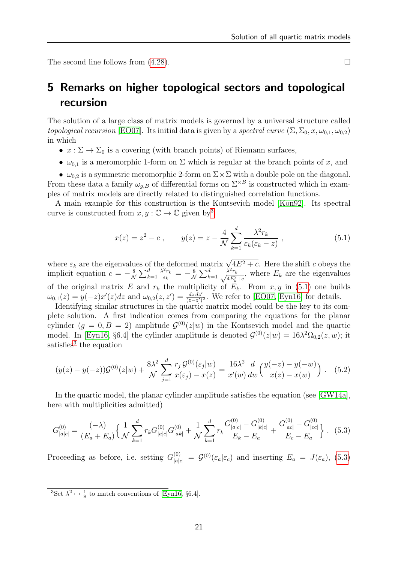The second line follows from  $(4.28)$ .

# <span id="page-20-0"></span>5 Remarks on higher topological sectors and topological recursion

The solution of a large class of matrix models is governed by a universal structure called topological recursion [\[EO07\]](#page-25-4). Its initial data is given by a spectral curve  $(\Sigma, \Sigma_0, x, \omega_{0.1}, \omega_{0.2})$ in which

- $x : \Sigma \to \Sigma_0$  is a covering (with branch points) of Riemann surfaces,
- $\omega_{0,1}$  is a meromorphic 1-form on  $\Sigma$  which is regular at the branch points of x, and

•  $\omega_{0,2}$  is a symmetric meromorphic 2-form on  $\Sigma \times \Sigma$  with a double pole on the diagonal. From these data a family  $\omega_{g,B}$  of differential forms on  $\Sigma^{\times B}$  is constructed which in examples of matrix models are directly related to distinguished correlation functions.

A main example for this construction is the Kontsevich model [\[Kon92\]](#page-26-0). Its spectral curve is constructed from  $x, y : \overline{\mathbb{C}} \to \overline{\mathbb{C}}$  given by<sup>[3](#page-20-1)</sup>

<span id="page-20-4"></span>
$$
x(z) = z^2 - c \,, \qquad y(z) = z - \frac{4}{\mathcal{N}} \sum_{k=1}^{d} \frac{\lambda^2 r_k}{\varepsilon_k(\varepsilon_k - z)} \,, \tag{5.1}
$$

where  $\varepsilon_k$  are the eigenvalues of the deformed matrix  $\sqrt{4E^2+c}$ . Here the shift c obeys the implicit equation  $c = -\frac{8}{\Lambda}$  $\frac{8}{\mathcal{N}}\sum_{k=1}^d$  $\lambda^2 r_k$  $\frac{z_{r_k}}{\epsilon_k} = -\frac{8}{\Lambda}$  $\frac{8}{\mathcal{N}}\sum_{k=1}^d$  $\frac{\lambda^2 r_k}{\sqrt{4E_k^2+c}}$ , where  $E_k$  are the eigenvalues of the original matrix E and  $r_k$  the multiplicity of  $E_k$ . From  $x, y$  in [\(5.1\)](#page-20-2) one builds  $\omega_{0,1}(z) = y(-z)x'(z)dz$  and  $\omega_{0,2}(z, z') = \frac{dz\,dz'}{(z-z')^2}$ . We refer to [\[EO07,](#page-25-4) [Eyn16\]](#page-25-5) for details.

Identifying similar structures in the quartic matrix model could be the key to its complete solution. A first indication comes from comparing the equations for the planar cylinder  $(g = 0, B = 2)$  amplitude  $\mathcal{G}^{(0)}(z|w)$  in the Kontsevich model and the quartic model. In [\[Eyn16,](#page-25-5) §6.4] the cylinder amplitude is denoted  $\mathcal{G}^{(0)}(z|w) = 16\lambda^2 \Omega_{0,2}(z,w)$ ; it satisfies<sup>[3](#page-20-1)</sup> the equation

$$
(y(z) - y(-z))\mathcal{G}^{(0)}(z|w) + \frac{8\lambda^2}{\mathcal{N}} \sum_{j=1}^d \frac{r_j \mathcal{G}^{(0)}(\varepsilon_j|w)}{x(\varepsilon_j) - x(z)} = \frac{16\lambda^2}{x'(w)} \frac{d}{dw} \left(\frac{y(-z) - y(-w)}{x(z) - x(w)}\right). \tag{5.2}
$$

In the quartic model, the planar cylinder amplitude satisfies the equation (see [\[GW14a\]](#page-25-7), here with multiplicities admitted)

<span id="page-20-3"></span>
$$
G_{|a|c|}^{(0)} = \frac{(-\lambda)}{(E_a + E_a)} \left\{ \frac{1}{\mathcal{N}} \sum_{k=1}^d r_k G_{|a|c|}^{(0)} G_{|ak|}^{(0)} + \frac{1}{\mathcal{N}} \sum_{k=1}^d r_k \frac{G_{|a|c|}^{(0)} - G_{|k|c|}^{(0)}}{E_k - E_a} + \frac{G_{|ac|}^{(0)} - G_{|cc|}^{(0)}}{E_c - E_a} \right\}.
$$
 (5.3)

Proceeding as before, i.e. setting  $G_{|a|c|}^{(0)} = \mathcal{G}^{(0)}(\varepsilon_a|\varepsilon_c)$  and inserting  $E_a = J(\varepsilon_a)$ , [\(5.3\)](#page-20-3)

<span id="page-20-1"></span><sup>3</sup>Set  $\lambda^2 \mapsto \frac{1}{8}$  to match conventions of [\[Eyn16,](#page-25-5) §6.4].

<span id="page-20-2"></span>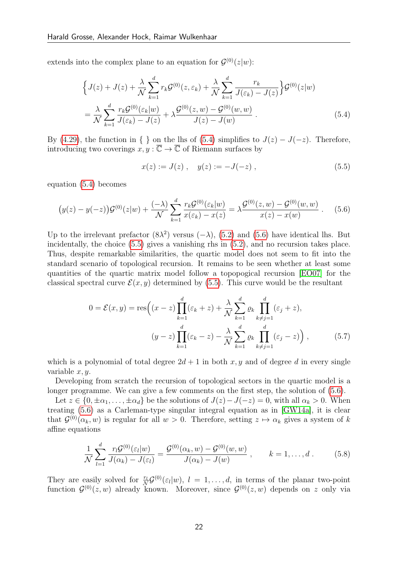extends into the complex plane to an equation for  $\mathcal{G}^{(0)}(z|w)$ :

$$
\left\{J(z) + J(z) + \frac{\lambda}{\mathcal{N}} \sum_{k=1}^{d} r_k \mathcal{G}^{(0)}(z, \varepsilon_k) + \frac{\lambda}{\mathcal{N}} \sum_{k=1}^{d} \frac{r_k}{J(\varepsilon_k) - J(z)}\right\} \mathcal{G}^{(0)}(z|w)
$$
  
= 
$$
\frac{\lambda}{\mathcal{N}} \sum_{k=1}^{d} \frac{r_k \mathcal{G}^{(0)}(\varepsilon_k|w)}{J(\varepsilon_k) - J(z)} + \lambda \frac{\mathcal{G}^{(0)}(z, w) - \mathcal{G}^{(0)}(w, w)}{J(z) - J(w)}.
$$
 (5.4)

By [\(4.29\)](#page-18-2), the function in { } on the lhs of [\(5.4\)](#page-21-0) simplifies to  $J(z) - J(-z)$ . Therefore, introducing two coverings  $x, y : \overline{\mathbb{C}} \to \overline{\mathbb{C}}$  of Riemann surfaces by

<span id="page-21-2"></span><span id="page-21-1"></span><span id="page-21-0"></span>
$$
x(z) := J(z) , \quad y(z) := -J(-z) , \tag{5.5}
$$

equation [\(5.4\)](#page-21-0) becomes

$$
(y(z) - y(-z))\mathcal{G}^{(0)}(z|w) + \frac{(-\lambda)}{\mathcal{N}} \sum_{k=1}^{d} \frac{r_k \mathcal{G}^{(0)}(\varepsilon_k|w)}{x(\varepsilon_k) - x(z)} = \lambda \frac{\mathcal{G}^{(0)}(z,w) - \mathcal{G}^{(0)}(w,w)}{x(z) - x(w)} . \tag{5.6}
$$

Up to the irrelevant prefactor  $(8\lambda^2)$  versus  $(-\lambda)$ ,  $(5.2)$  and  $(5.6)$  have identical lhs. But incidentally, the choice [\(5.5\)](#page-21-2) gives a vanishing rhs in [\(5.2\)](#page-20-4), and no recursion takes place. Thus, despite remarkable similarities, the quartic model does not seem to fit into the standard scenario of topological recursion. It remains to be seen whether at least some quantities of the quartic matrix model follow a topopogical recursion [\[EO07\]](#page-25-4) for the classical spectral curve  $\mathcal{E}(x, y)$  determined by [\(5.5\)](#page-21-2). This curve would be the resultant

$$
0 = \mathcal{E}(x, y) = \text{res}\left((x - z)\prod_{k=1}^{d}(\varepsilon_k + z) + \frac{\lambda}{\mathcal{N}} \sum_{k=1}^{d} \varrho_k \prod_{k \neq j=1}^{d}(\varepsilon_j + z),\right)
$$
  

$$
(y - z)\prod_{k=1}^{d}(\varepsilon_k - z) - \frac{\lambda}{\mathcal{N}} \sum_{k=1}^{d} \varrho_k \prod_{k \neq j=1}^{d}(\varepsilon_j - z)\right),
$$
(5.7)

which is a polynomial of total degree  $2d + 1$  in both x, y and of degree d in every single variable  $x, y$ .

Developing from scratch the recursion of topological sectors in the quartic model is a longer programme. We can give a few comments on the first step, the solution of [\(5.6\)](#page-21-1).

Let  $z \in \{0, \pm \alpha_1, \ldots, \pm \alpha_d\}$  be the solutions of  $J(z) - J(-z) = 0$ , with all  $\alpha_k > 0$ . When treating [\(5.6\)](#page-21-1) as a Carleman-type singular integral equation as in [\[GW14a\]](#page-25-7), it is clear that  $\mathcal{G}^{(0)}(\alpha_k, w)$  is regular for all  $w > 0$ . Therefore, setting  $z \mapsto \alpha_k$  gives a system of k affine equations

$$
\frac{1}{N} \sum_{l=1}^{d} \frac{r_l \mathcal{G}^{(0)}(\varepsilon_l | w)}{J(\alpha_k) - J(\varepsilon_l)} = \frac{\mathcal{G}^{(0)}(\alpha_k, w) - \mathcal{G}^{(0)}(w, w)}{J(\alpha_k) - J(w)}, \qquad k = 1, ..., d. \tag{5.8}
$$

They are easily solved for  $\frac{r_l}{\mathcal{N}}\mathcal{G}^{(0)}(\varepsilon_l|w)$ ,  $l = 1,\ldots,d$ , in terms of the planar two-point function  $\mathcal{G}^{(0)}(z,w)$  already known. Moreover, since  $\mathcal{G}^{(0)}(z,w)$  depends on z only via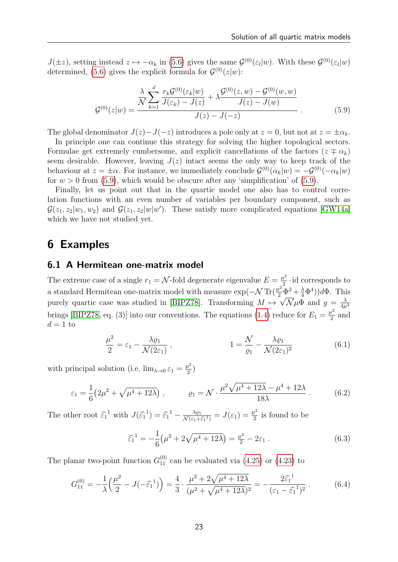$J(\pm z)$ , setting instead  $z \mapsto -\alpha_k$  in [\(5.6\)](#page-21-1) gives the same  $\mathcal{G}^{(0)}(\varepsilon_l|w)$ . With these  $\mathcal{G}^{(0)}(\varepsilon_l|w)$ determined, [\(5.6\)](#page-21-1) gives the explicit formula for  $\mathcal{G}^{(0)}(z|w)$ :

<span id="page-22-1"></span>
$$
\mathcal{G}^{(0)}(z|w) = \frac{\frac{\lambda}{\mathcal{N}} \sum_{k=1}^{d} \frac{r_k \mathcal{G}^{(0)}(\varepsilon_k|w)}{J(\varepsilon_k) - J(z)} + \lambda \frac{\mathcal{G}^{(0)}(z,w) - \mathcal{G}^{(0)}(w,w)}{J(z) - J(w)} }{J(z) - J(-z)}.
$$
(5.9)

The global denominator  $J(z)-J(-z)$  introduces a pole only at  $z=0$ , but not at  $z=\pm \alpha_k$ .

In principle one can continue this strategy for solving the higher topological sectors. Formulae get extremely cumbersome, and explicit cancellations of the factors  $(z \mp \alpha_k)$ seem desirable. However, leaving  $J(z)$  intact seems the only way to keep track of the behaviour at  $z = \pm \alpha$ . For instance, we immediately conclude  $\mathcal{G}^{(0)}(\alpha_k|w) = -\mathcal{G}^{(0)}(-\alpha_k|w)$ for  $w > 0$  from [\(5.9\)](#page-22-1), which would be obscure after any 'simplification' of (5.9).

Finally, let us point out that in the quartic model one also has to control correlation functions with an even number of variables per boundary component, such as  $\mathcal{G}(z_1, z_2|w_1, w_2)$  and  $\mathcal{G}(z_1, z_2|w|w')$ . These satisfy more complicated equations [\[GW14a\]](#page-25-7) which we have not studied yet.

## <span id="page-22-0"></span>6 Examples

### 6.1 A Hermitean one-matrix model

The extreme case of a single  $r_1 = \mathcal{N}$ -fold degenerate eigenvalue  $E = \frac{\mu^2}{2}$  $\frac{u^2}{2}$  · id corresponds to a standard Hermitean one-matrix model with measure  $\exp(-\mathcal{N}\operatorname{Tr}(\frac{\mu^2}{2}\Phi^2 + \frac{\lambda}{4}\Phi^4))d\Phi$ . This purely quartic case was studied in [\[BIPZ78\]](#page-25-13). Transforming  $M \mapsto \sqrt{\mathcal{N}} \mu \Phi$  and  $g = \frac{\lambda}{4\mu}$  $4\mu^4$ brings [\[BIPZ78,](#page-25-13) eq. (3)] into our conventions. The equations [\(1.4\)](#page-1-3) reduce for  $E_1 = \frac{\mu^2}{2}$  $rac{1}{2}$  and  $d=1$  to

$$
\frac{\mu^2}{2} = \varepsilon_1 - \frac{\lambda \varrho_1}{\mathcal{N}(2\varepsilon_1)}, \qquad 1 = \frac{\mathcal{N}}{\varrho_1} - \frac{\lambda \varrho_1}{\mathcal{N}(2\varepsilon_1)^2}
$$
(6.1)

with principal solution (i.e.  $\lim_{\lambda\to 0} \varepsilon_1 = \frac{\mu^2}{2}$  $\frac{\iota^2}{2})$ 

$$
\varepsilon_1 = \frac{1}{6} \left( 2\mu^2 + \sqrt{\mu^4 + 12\lambda} \right), \qquad \varrho_1 = \mathcal{N} \cdot \frac{\mu^2 \sqrt{\mu^4 + 12\lambda} - \mu^4 + 12\lambda}{18\lambda} \,. \tag{6.2}
$$

The other root  $\hat{\epsilon}_1^{-1}$  with  $J(\hat{\epsilon}_1^{-1}) = \hat{\epsilon}_1^{-1} - \frac{\lambda \varrho_1}{\mathcal{N}(\epsilon_1 + \epsilon_2)}$  $\frac{\lambda \varrho_1}{\mathcal{N}(\varepsilon_1+\widehat{\varepsilon_1}^1)}=J(\varepsilon_1)=\frac{\mu^2}{2}$  $\frac{u^2}{2}$  is found to be

<span id="page-22-2"></span>
$$
\widehat{\varepsilon}_1^1 = -\frac{1}{6} \left( \mu^2 + 2\sqrt{\mu^4 + 12\lambda} \right) = \frac{\mu^2}{2} - 2\varepsilon_1 \,. \tag{6.3}
$$

The planar two-point function  $G_{11}^{(0)}$  can be evaluated via [\(4.25\)](#page-17-2) or [\(4.23\)](#page-17-3) to

$$
G_{11}^{(0)} = -\frac{1}{\lambda} \left( \frac{\mu^2}{2} - J(-\hat{\varepsilon}_1^{-1}) \right) = \frac{4}{3} \cdot \frac{\mu^2 + 2\sqrt{\mu^4 + 12\lambda}}{(\mu^2 + \sqrt{\mu^4 + 12\lambda})^2} = -\frac{2\hat{\varepsilon}_1^{-1}}{(\varepsilon_1 - \hat{\varepsilon}_1^{-1})^2} \,. \tag{6.4}
$$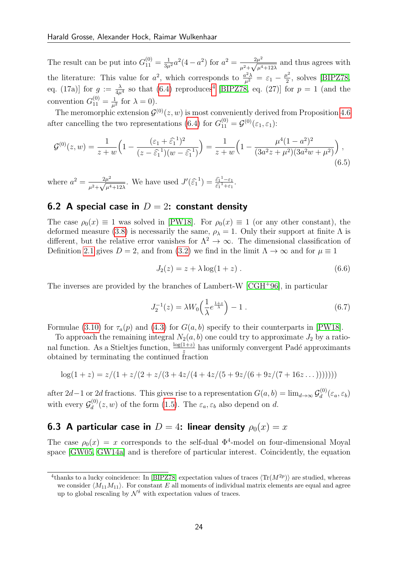The result can be put into  $G_{11}^{(0)} = \frac{1}{3\mu^2} a^2 (4 - a^2)$  for  $a^2 = \frac{2\mu^2}{a^2 + \sqrt{a^2}}$  $\frac{2\mu^2}{\mu^2 + \sqrt{\mu^4 + 12\lambda}}$  and thus agrees with the literature: This value for  $a^2$ , which corresponds to  $\frac{a^2\lambda}{\mu^2} = \varepsilon_1 - \frac{\mu^2}{2}$  $\frac{\mu^2}{2}$ , solves [\[BIPZ78,](#page-25-13) eq. (17a)] for  $g := \frac{\lambda}{4\mu^4}$  $g := \frac{\lambda}{4\mu^4}$  $g := \frac{\lambda}{4\mu^4}$  so that [\(6.4\)](#page-22-2) reproduces<sup>4</sup> [\[BIPZ78,](#page-25-13) eq. (27)] for  $p = 1$  (and the convention  $G_{11}^{(0)} = \frac{1}{\mu^2}$  $\frac{1}{\mu^2}$  for  $\lambda = 0$ ).

The meromorphic extension  $\mathcal{G}^{(0)}(z,w)$  is most conveniently derived from Proposition [4.6](#page-19-0) after cancelling the two representations [\(6.4\)](#page-22-2) for  $G_{11}^{(0)} = \mathcal{G}^{(0)}(\varepsilon_1, \varepsilon_1)$ :

$$
\mathcal{G}^{(0)}(z,w) = \frac{1}{z+w} \left( 1 - \frac{(\varepsilon_1 + \widehat{\varepsilon_1}^1)^2}{(z - \widehat{\varepsilon_1}^1)(w - \widehat{\varepsilon_1}^1)} \right) = \frac{1}{z+w} \left( 1 - \frac{\mu^4 (1 - a^2)^2}{(3a^2 z + \mu^2)(3a^2 w + \mu^2)} \right),\tag{6.5}
$$

where  $a^2 = \frac{2\mu^2}{\sqrt{a^2 - 2a^2}}$  $\frac{2\mu^2}{\mu^2 + \sqrt{\mu^4 + 12\lambda}}$ . We have used  $J'(\hat{\varepsilon}_1^{-1}) = \frac{\hat{\varepsilon}_1^{-1} - \varepsilon_1}{\hat{\varepsilon}_1^{-1} + \varepsilon_1}$  $\frac{\varepsilon_1 - \varepsilon_1}{\varepsilon_1^1 + \varepsilon_1}$ .

### 6.2 A special case in  $D = 2$ : constant density

The case  $\rho_0(x) \equiv 1$  was solved in [\[PW18\]](#page-26-3). For  $\rho_0(x) \equiv 1$  (or any other constant), the deformed measure [\(3.8\)](#page-7-0) is necessarily the same,  $\rho_{\lambda} = 1$ . Only their support at finite  $\Lambda$  is different, but the relative error vanishes for  $\Lambda^2 \to \infty$ . The dimensional classification of Definition [2.1](#page-4-0) gives  $D = 2$ , and from [\(3.2\)](#page-6-3) we find in the limit  $\Lambda \to \infty$  and for  $\mu \equiv 1$ 

$$
J_2(z) = z + \lambda \log(1 + z) . \tag{6.6}
$$

The inverses are provided by the branches of Lambert-W [\[CGH](#page-25-11)<sup>+</sup>96], in particular

$$
J_2^{-1}(z) = \lambda W_0 \left(\frac{1}{\lambda} e^{\frac{1+z}{\lambda}}\right) - 1 \tag{6.7}
$$

Formulae [\(3.10\)](#page-8-2) for  $\tau_a(p)$  and [\(4.3\)](#page-12-2) for  $G(a, b)$  specify to their counterparts in [\[PW18\]](#page-26-3).

To approach the remaining integral  $N_2(a, b)$  one could try to approximate  $J_2$  by a rational function. As a Stieltjes function,  $\frac{\log(1+z)}{z}$  has uniformly convergent Padé approximants obtained by terminating the continued fraction

$$
\log(1+z) = z/(1+z/(2+z/(3+4z/(4+4z/(5+9z/(6+9z/(7+16z...)))))))
$$

after 2d – 1 or 2d fractions. This gives rise to a representation  $G(a, b) = \lim_{d \to \infty} \mathcal{G}_d^{(0)}$  $\zeta_d^{(0)}(\varepsilon_a,\varepsilon_b)$ with every  $\mathcal{G}_d^{(0)}$  $d_d^{(0)}(z, w)$  of the form [\(1.5\)](#page-2-0). The  $\varepsilon_a, \varepsilon_b$  also depend on d.

### **6.3 A particular case in**  $D = 4$ : linear density  $\rho_0(x) = x$

The case  $\rho_0(x) = x$  corresponds to the self-dual  $\Phi^4$ -model on four-dimensional Moyal space [\[GW05,](#page-25-6) [GW14a\]](#page-25-7) and is therefore of particular interest. Coincidently, the equation

<span id="page-23-0"></span><sup>&</sup>lt;sup>4</sup>thanks to a lucky coincidence: In [\[BIPZ78\]](#page-25-13) expectation values of traces  $\langle \text{Tr}(M^{2p}) \rangle$  are studied, whereas we consider  $\langle M_{11}M_{11}\rangle$ . For constant E all moments of individual matrix elements are equal and agree up to global rescaling by  $\mathcal{N}^{\delta}$  with expectation values of traces.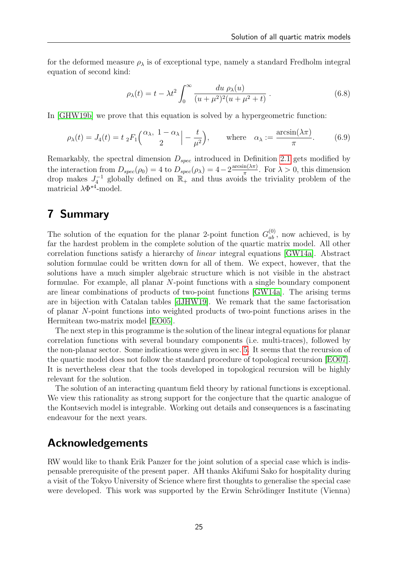for the deformed measure  $\rho_{\lambda}$  is of exceptional type, namely a standard Fredholm integral equation of second kind:

$$
\rho_{\lambda}(t) = t - \lambda t^2 \int_0^{\infty} \frac{du \, \rho_{\lambda}(u)}{(u + \mu^2)^2 (u + \mu^2 + t)} \,. \tag{6.8}
$$

In [\[GHW19b\]](#page-25-12) we prove that this equation is solved by a hypergeometric function:

$$
\rho_{\lambda}(t) = J_4(t) = t \, {}_2F_1\left(\frac{\alpha_{\lambda}, 1 - \alpha_{\lambda}}{2}\Big| - \frac{t}{\mu^2}\right), \qquad \text{where} \quad \alpha_{\lambda} := \frac{\arcsin(\lambda \pi)}{\pi}.
$$
 (6.9)

Remarkably, the spectral dimension  $D_{spec}$  introduced in Definition [2.1](#page-4-0) gets modified by the interaction from  $D_{spec}(\rho_0) = 4$  to  $D_{spec}(\rho_\lambda) = 4 - 2 \frac{\arcsin(\lambda \pi)}{\pi}$  $\frac{n(\lambda \pi)}{\pi}$ . For  $\lambda > 0$ , this dimension drop makes  $J_4^{-1}$  globally defined on  $\mathbb{R}_+$  and thus avoids the triviality problem of the matricial  $\lambda \Phi^{\star 4}$ -model.

## <span id="page-24-0"></span>7 Summary

The solution of the equation for the planar 2-point function  $G_{ab}^{(0)}$ , now achieved, is by far the hardest problem in the complete solution of the quartic matrix model. All other correlation functions satisfy a hierarchy of linear integral equations [\[GW14a\]](#page-25-7). Abstract solution formulae could be written down for all of them. We expect, however, that the solutions have a much simpler algebraic structure which is not visible in the abstract formulae. For example, all planar N-point functions with a single boundary component are linear combinations of products of two-point functions [\[GW14a\]](#page-25-7). The arising terms are in bijection with Catalan tables [\[dJHW19\]](#page-25-8). We remark that the same factorisation of planar N-point functions into weighted products of two-point functions arises in the Hermitean two-matrix model [\[EO05\]](#page-25-14).

The next step in this programme is the solution of the linear integral equations for planar correlation functions with several boundary components (i.e. multi-traces), followed by the non-planar sector. Some indications were given in sec. [5.](#page-20-0) It seems that the recursion of the quartic model does not follow the standard procedure of topological recursion [\[EO07\]](#page-25-4). It is nevertheless clear that the tools developed in topological recursion will be highly relevant for the solution.

The solution of an interacting quantum field theory by rational functions is exceptional. We view this rationality as strong support for the conjecture that the quartic analogue of the Kontsevich model is integrable. Working out details and consequences is a fascinating endeavour for the next years.

## Acknowledgements

RW would like to thank Erik Panzer for the joint solution of a special case which is indispensable prerequisite of the present paper. AH thanks Akifumi Sako for hospitality during a visit of the Tokyo University of Science where first thoughts to generalise the special case were developed. This work was supported by the Erwin Schrödinger Institute (Vienna)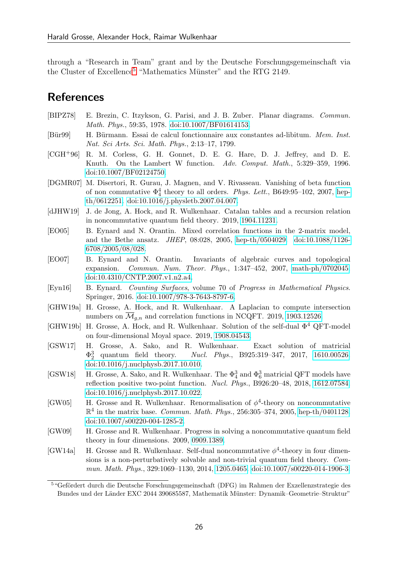through a "Research in Team" grant and by the Deutsche Forschungsgemeinschaft via the Cluster of Excellence<sup>[5](#page-25-15)</sup> "Mathematics Münster" and the RTG 2149.

## **References**

- <span id="page-25-13"></span>[BIPZ78] E. Brezin, C. Itzykson, G. Parisi, and J. B. Zuber. Planar diagrams. Commun. Math. Phys., 59:35, 1978. [doi:10.1007/BF01614153.](http://dx.doi.org/10.1007/BF01614153)
- <span id="page-25-10"></span>[Bür99] H. Bürmann. Essai de calcul fonctionnaire aux constantes ad-libitum. Mem. Inst. Nat. Sci Arts. Sci. Math. Phys., 2:13–17, 1799.
- <span id="page-25-11"></span>[CGH+96] R. M. Corless, G. H. Gonnet, D. E. G. Hare, D. J. Jeffrey, and D. E. Knuth. On the Lambert W function. Adv. Comput. Math., 5:329–359, 1996. [doi:10.1007/BF02124750.](http://dx.doi.org/10.1007/BF02124750)
- <span id="page-25-3"></span>[DGMR07] M. Disertori, R. Gurau, J. Magnen, and V. Rivasseau. Vanishing of beta function of non commutative  $\Phi_4^4$  theory to all orders. Phys. Lett., B649:95-102, 2007, [hep](http://arxiv.org/abs/hep-th/0612251)[th/0612251.](http://arxiv.org/abs/hep-th/0612251) [doi:10.1016/j.physletb.2007.04.007.](http://dx.doi.org/10.1016/j.physletb.2007.04.007)
- <span id="page-25-8"></span>[dJHW19] J. de Jong, A. Hock, and R. Wulkenhaar. Catalan tables and a recursion relation in noncommutative quantum field theory. 2019, [1904.11231.](http://arxiv.org/abs/1904.11231)
- <span id="page-25-14"></span>[EO05] B. Eynard and N. Orantin. Mixed correlation functions in the 2-matrix model, and the Bethe ansatz. JHEP, 08:028, 2005, [hep-th/0504029.](http://arxiv.org/abs/hep-th/0504029) [doi:10.1088/1126-](http://dx.doi.org/10.1088/1126-6708/2005/08/028) [6708/2005/08/028.](http://dx.doi.org/10.1088/1126-6708/2005/08/028)
- <span id="page-25-4"></span>[EO07] B. Eynard and N. Orantin. Invariants of algebraic curves and topological expansion. Commun. Num. Theor. Phys., 1:347–452, 2007, [math-ph/0702045.](http://arxiv.org/abs/math-ph/0702045) [doi:10.4310/CNTP.2007.v1.n2.a4.](http://dx.doi.org/10.4310/CNTP.2007.v1.n2.a4)
- <span id="page-25-5"></span>[Eyn16] B. Eynard. Counting Surfaces, volume 70 of Progress in Mathematical Physics. Springer, 2016. [doi:10.1007/978-3-7643-8797-6.](http://dx.doi.org/10.1007/978-3-7643-8797-6)
- <span id="page-25-2"></span>[GHW19a] H. Grosse, A. Hock, and R. Wulkenhaar. A Laplacian to compute intersection numbers on  $\mathcal{M}_{g,n}$  and correlation functions in NCQFT. 2019, [1903.12526.](http://arxiv.org/abs/1903.12526)
- <span id="page-25-12"></span>[GHW19b] H. Grosse, A. Hock, and R. Wulkenhaar. Solution of the self-dual  $\Phi^4$  QFT-model on four-dimensional Moyal space. 2019, [1908.04543.](http://arxiv.org/abs/1908.04543)
- <span id="page-25-0"></span>[GSW17] H. Grosse, A. Sako, and R. Wulkenhaar. Exact solution of matricial  $\Phi_2^3$ Nucl. Phys., B925:319–347, 2017, [1610.00526.](http://arxiv.org/abs/1610.00526) [doi:10.1016/j.nuclphysb.2017.10.010.](http://dx.doi.org/10.1016/j.nuclphysb.2017.10.010)
- <span id="page-25-1"></span>[GSW18] H. Grosse, A. Sako, and R. Wulkenhaar. The  $\Phi_4^3$  and  $\Phi_6^3$  matricial QFT models have reflection positive two-point function. Nucl. Phys., B926:20–48, 2018, [1612.07584.](http://arxiv.org/abs/1612.07584) [doi:10.1016/j.nuclphysb.2017.10.022.](http://dx.doi.org/10.1016/j.nuclphysb.2017.10.022)
- <span id="page-25-6"></span>[GW05] H. Grosse and R. Wulkenhaar. Renormalisation of  $\phi^4$ -theory on noncommutative  $\mathbb{R}^{4}$  in the matrix base. *Commun. Math. Phys.*, 256:305-374, 2005, [hep-th/0401128.](http://arxiv.org/abs/hep-th/0401128) [doi:10.1007/s00220-004-1285-2.](http://dx.doi.org/10.1007/s00220-004-1285-2)
- <span id="page-25-9"></span>[GW09] H. Grosse and R. Wulkenhaar. Progress in solving a noncommutative quantum field theory in four dimensions. 2009, [0909.1389.](http://arxiv.org/abs/0909.1389)
- <span id="page-25-7"></span>[GW14a] H. Grosse and R. Wulkenhaar. Self-dual noncommutative  $\phi^4$ -theory in four dimensions is a non-perturbatively solvable and non-trivial quantum field theory. Commun. Math. Phys., 329:1069–1130, 2014, [1205.0465.](http://arxiv.org/abs/1205.0465) [doi:10.1007/s00220-014-1906-3.](http://dx.doi.org/10.1007/s00220-014-1906-3)

<span id="page-25-15"></span><sup>&</sup>lt;sup>5 "</sup>Gefördert durch die Deutsche Forschungsgemeinschaft (DFG) im Rahmen der Exzellenzstrategie des Bundes und der Länder EXC 2044 390685587, Mathematik Münster: Dynamik–Geometrie–Struktur"